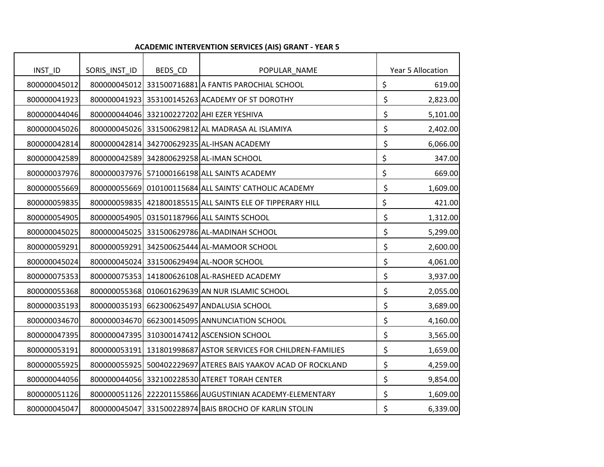| INST_ID      | SORIS_INST_ID | BEDS_CD | POPULAR_NAME                                                   | Year 5 Allocation |
|--------------|---------------|---------|----------------------------------------------------------------|-------------------|
| 800000045012 |               |         | 800000045012 331500716881 A FANTIS PAROCHIAL SCHOOL            | \$<br>619.00      |
| 800000041923 |               |         | 800000041923 353100145263 ACADEMY OF ST DOROTHY                | \$<br>2,823.00    |
| 800000044046 |               |         | 800000044046 332100227202 AHI EZER YESHIVA                     | \$<br>5,101.00    |
| 800000045026 |               |         | 800000045026 331500629812 AL MADRASA AL ISLAMIYA               | \$<br>2,402.00    |
| 800000042814 |               |         | 800000042814 342700629235 AL-IHSAN ACADEMY                     | \$<br>6,066.00    |
| 800000042589 |               |         | 800000042589 342800629258 AL-IMAN SCHOOL                       | \$<br>347.00      |
| 800000037976 |               |         | 800000037976 571000166198 ALL SAINTS ACADEMY                   | \$<br>669.00      |
| 800000055669 |               |         | 800000055669 010100115684 ALL SAINTS' CATHOLIC ACADEMY         | \$<br>1,609.00    |
| 800000059835 |               |         | 800000059835 421800185515 ALL SAINTS ELE OF TIPPERARY HILL     | \$<br>421.00      |
| 800000054905 |               |         | 800000054905 031501187966 ALL SAINTS SCHOOL                    | \$<br>1,312.00    |
| 800000045025 |               |         | 800000045025 331500629786 AL-MADINAH SCHOOL                    | \$<br>5,299.00    |
| 800000059291 |               |         | 800000059291 342500625444 AL-MAMOOR SCHOOL                     | \$<br>2,600.00    |
| 800000045024 |               |         | 800000045024 331500629494 AL-NOOR SCHOOL                       | \$<br>4,061.00    |
| 800000075353 |               |         | 800000075353 141800626108 AL-RASHEED ACADEMY                   | \$<br>3,937.00    |
| 800000055368 |               |         | 800000055368 010601629639 AN NUR ISLAMIC SCHOOL                | \$<br>2,055.00    |
| 800000035193 |               |         | 800000035193 662300625497 ANDALUSIA SCHOOL                     | \$<br>3,689.00    |
| 800000034670 |               |         | 800000034670 662300145095 ANNUNCIATION SCHOOL                  | \$<br>4,160.00    |
| 800000047395 |               |         | 800000047395 310300147412 ASCENSION SCHOOL                     | \$<br>3,565.00    |
| 800000053191 |               |         | 800000053191 131801998687 ASTOR SERVICES FOR CHILDREN-FAMILIES | \$<br>1,659.00    |
| 800000055925 |               |         | 800000055925 500402229697 ATERES BAIS YAAKOV ACAD OF ROCKLAND  | \$<br>4,259.00    |
| 800000044056 |               |         | 800000044056 332100228530 ATERET TORAH CENTER                  | \$<br>9,854.00    |
| 800000051126 |               |         | 800000051126 222201155866 AUGUSTINIAN ACADEMY-ELEMENTARY       | \$<br>1,609.00    |
| 800000045047 |               |         | 800000045047 331500228974 BAIS BROCHO OF KARLIN STOLIN         | \$<br>6,339.00    |

## **ACADEMIC INTERVENTION SERVICES (AIS) GRANT - YEAR 5**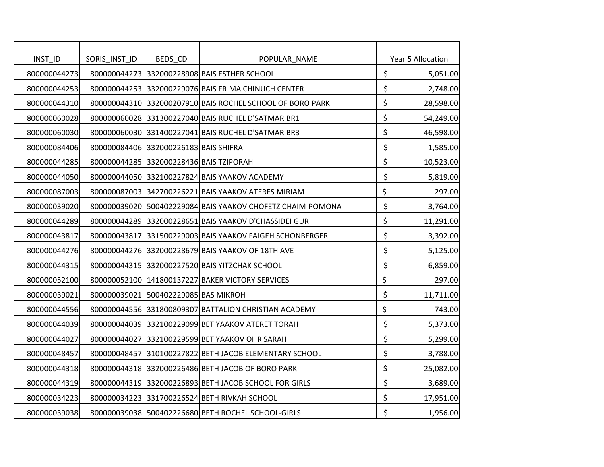| INST_ID      | SORIS_INST_ID | BEDS_CD                                 | POPULAR_NAME                                               | Year 5 Allocation |
|--------------|---------------|-----------------------------------------|------------------------------------------------------------|-------------------|
| 800000044273 |               |                                         | 800000044273 332000228908 BAIS ESTHER SCHOOL               | \$<br>5,051.00    |
| 800000044253 |               |                                         | 800000044253 332000229076 BAIS FRIMA CHINUCH CENTER        | \$<br>2,748.00    |
| 800000044310 |               |                                         | 800000044310 332000207910 BAIS ROCHEL SCHOOL OF BORO PARK  | \$<br>28,598.00   |
| 800000060028 |               |                                         | 800000060028 331300227040 BAIS RUCHEL D'SATMAR BR1         | \$<br>54,249.00   |
| 800000060030 |               |                                         | 800000060030 331400227041 BAIS RUCHEL D'SATMAR BR3         | \$<br>46,598.00   |
| 800000084406 |               | 800000084406 332000226183 BAIS SHIFRA   |                                                            | \$<br>1,585.00    |
| 800000044285 |               | 800000044285 332000228436 BAIS TZIPORAH |                                                            | \$<br>10,523.00   |
| 800000044050 |               |                                         | 800000044050 332100227824 BAIS YAAKOV ACADEMY              | \$<br>5,819.00    |
| 800000087003 |               |                                         | 800000087003 342700226221 BAIS YAAKOV ATERES MIRIAM        | \$<br>297.00      |
| 800000039020 |               |                                         | 800000039020 500402229084 BAIS YAAKOV CHOFETZ CHAIM-POMONA | \$<br>3,764.00    |
| 800000044289 |               |                                         | 800000044289 332000228651 BAIS YAAKOV D'CHASSIDEI GUR      | \$<br>11,291.00   |
| 800000043817 |               |                                         | 800000043817 331500229003 BAIS YAAKOV FAIGEH SCHONBERGER   | \$<br>3,392.00    |
| 800000044276 |               |                                         | 800000044276 332000228679 BAIS YAAKOV OF 18TH AVE          | \$<br>5,125.00    |
| 800000044315 |               |                                         | 800000044315 332000227520 BAIS YITZCHAK SCHOOL             | \$<br>6,859.00    |
| 800000052100 |               |                                         | 800000052100 141800137227 BAKER VICTORY SERVICES           | \$<br>297.00      |
| 800000039021 |               | 800000039021 500402229085 BAS MIKROH    |                                                            | \$<br>11,711.00   |
| 800000044556 |               |                                         | 800000044556 331800809307 BATTALION CHRISTIAN ACADEMY      | \$<br>743.00      |
| 800000044039 |               |                                         | 800000044039 332100229099 BET YAAKOV ATERET TORAH          | \$<br>5,373.00    |
| 800000044027 |               |                                         | 800000044027 332100229599 BET YAAKOV OHR SARAH             | \$<br>5,299.00    |
| 800000048457 |               |                                         | 800000048457 310100227822 BETH JACOB ELEMENTARY SCHOOL     | \$<br>3,788.00    |
| 800000044318 |               |                                         | 800000044318 332000226486 BETH JACOB OF BORO PARK          | \$<br>25,082.00   |
| 800000044319 |               |                                         | 800000044319 332000226893 BETH JACOB SCHOOL FOR GIRLS      | \$<br>3,689.00    |
| 800000034223 |               |                                         | 800000034223 331700226524 BETH RIVKAH SCHOOL               | \$<br>17,951.00   |
| 800000039038 |               |                                         | 800000039038 500402226680 BETH ROCHEL SCHOOL-GIRLS         | \$<br>1,956.00    |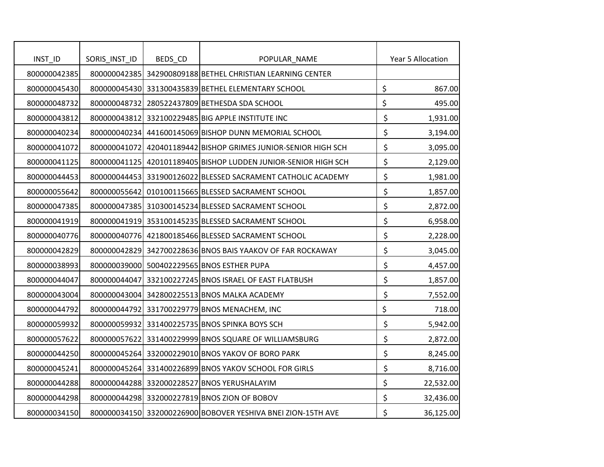| INST_ID      | SORIS_INST_ID | BEDS_CD | POPULAR_NAME                                                   | Year 5 Allocation |
|--------------|---------------|---------|----------------------------------------------------------------|-------------------|
| 800000042385 |               |         | 800000042385 342900809188 BETHEL CHRISTIAN LEARNING CENTER     |                   |
| 800000045430 |               |         | 800000045430 331300435839 BETHEL ELEMENTARY SCHOOL             | \$<br>867.00      |
| 800000048732 |               |         | 800000048732 280522437809 BETHESDA SDA SCHOOL                  | \$<br>495.00      |
| 800000043812 |               |         | 800000043812 332100229485 BIG APPLE INSTITUTE INC              | \$<br>1,931.00    |
| 800000040234 |               |         | 800000040234 441600145069 BISHOP DUNN MEMORIAL SCHOOL          | \$<br>3,194.00    |
| 800000041072 |               |         | 800000041072 420401189442 BISHOP GRIMES JUNIOR-SENIOR HIGH SCH | \$<br>3,095.00    |
| 800000041125 |               |         | 800000041125 420101189405 BISHOP LUDDEN JUNIOR-SENIOR HIGH SCH | \$<br>2,129.00    |
| 800000044453 |               |         | 800000044453 331900126022 BLESSED SACRAMENT CATHOLIC ACADEMY   | \$<br>1,981.00    |
| 800000055642 |               |         | 800000055642 010100115665 BLESSED SACRAMENT SCHOOL             | \$<br>1,857.00    |
| 800000047385 |               |         | 800000047385 310300145234 BLESSED SACRAMENT SCHOOL             | \$<br>2,872.00    |
| 800000041919 |               |         | 800000041919 353100145235 BLESSED SACRAMENT SCHOOL             | \$<br>6,958.00    |
| 800000040776 |               |         | 800000040776 421800185466 BLESSED SACRAMENT SCHOOL             | \$<br>2,228.00    |
| 800000042829 |               |         | 800000042829 342700228636 BNOS BAIS YAAKOV OF FAR ROCKAWAY     | \$<br>3,045.00    |
| 800000038993 |               |         | 800000039000 500402229565 BNOS ESTHER PUPA                     | \$<br>4,457.00    |
| 800000044047 |               |         | 800000044047 332100227245 BNOS ISRAEL OF EAST FLATBUSH         | \$<br>1,857.00    |
| 800000043004 |               |         | 800000043004 342800225513 BNOS MALKA ACADEMY                   | \$<br>7,552.00    |
| 800000044792 |               |         | 800000044792 331700229779 BNOS MENACHEM, INC                   | \$<br>718.00      |
| 800000059932 |               |         | 800000059932 331400225735 BNOS SPINKA BOYS SCH                 | \$<br>5,942.00    |
| 800000057622 |               |         | 800000057622 331400229999 BNOS SQUARE OF WILLIAMSBURG          | \$<br>2,872.00    |
| 800000044250 |               |         | 800000045264 332000229010 BNOS YAKOV OF BORO PARK              | \$<br>8,245.00    |
| 800000045241 |               |         | 800000045264 331400226899 BNOS YAKOV SCHOOL FOR GIRLS          | \$<br>8,716.00    |
| 800000044288 |               |         | 800000044288 332000228527 BNOS YERUSHALAYIM                    | \$<br>22,532.00   |
| 800000044298 |               |         | 800000044298 332000227819 BNOS ZION OF BOBOV                   | \$<br>32,436.00   |
| 800000034150 |               |         | 800000034150 332000226900 BOBOVER YESHIVA BNEI ZION-15TH AVE   | \$<br>36,125.00   |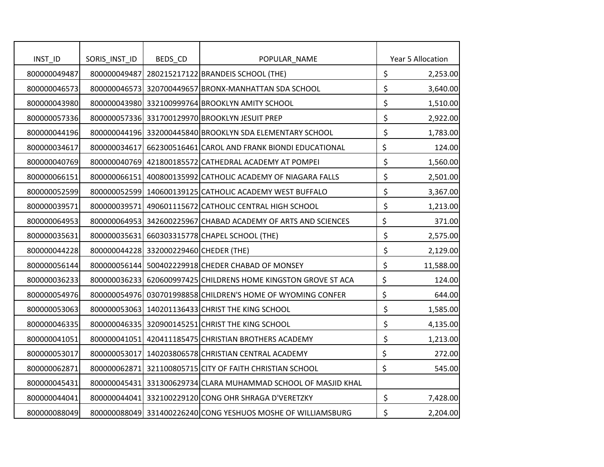| INST_ID      | SORIS_INST_ID | BEDS_CD                                | POPULAR_NAME                                                   |                                | Year 5 Allocation |
|--------------|---------------|----------------------------------------|----------------------------------------------------------------|--------------------------------|-------------------|
| 800000049487 | 800000049487  |                                        | 280215217122 BRANDEIS SCHOOL (THE)                             | \$                             | 2,253.00          |
| 800000046573 |               |                                        | 800000046573 320700449657 BRONX-MANHATTAN SDA SCHOOL           | \$                             | 3,640.00          |
| 800000043980 |               |                                        | 800000043980 332100999764 BROOKLYN AMITY SCHOOL                | \$                             | 1,510.00          |
| 800000057336 |               |                                        | 800000057336 331700129970 BROOKLYN JESUIT PREP                 | \$                             | 2,922.00          |
| 800000044196 |               |                                        | 800000044196 332000445840 BROOKLYN SDA ELEMENTARY SCHOOL       | \$                             | 1,783.00          |
| 800000034617 |               |                                        | 800000034617 662300516461 CAROL AND FRANK BIONDI EDUCATIONAL   | \$                             | 124.00            |
| 800000040769 |               |                                        | 800000040769 421800185572 CATHEDRAL ACADEMY AT POMPEI          | \$                             | 1,560.00          |
| 800000066151 |               |                                        | 800000066151 400800135992 CATHOLIC ACADEMY OF NIAGARA FALLS    | \$                             | 2,501.00          |
| 800000052599 |               |                                        | 800000052599 140600139125 CATHOLIC ACADEMY WEST BUFFALO        | \$                             | 3,367.00          |
| 800000039571 |               |                                        | 800000039571 490601115672 CATHOLIC CENTRAL HIGH SCHOOL         | \$                             | 1,213.00          |
| 800000064953 |               |                                        | 800000064953 342600225967 CHABAD ACADEMY OF ARTS AND SCIENCES  | \$                             | 371.00            |
| 800000035631 |               |                                        | 800000035631 660303315778 CHAPEL SCHOOL (THE)                  | \$                             | 2,575.00          |
| 800000044228 |               | 800000044228 332000229460 CHEDER (THE) |                                                                | \$                             | 2,129.00          |
| 800000056144 |               |                                        | 800000056144 500402229918 CHEDER CHABAD OF MONSEY              | $\boldsymbol{\dot{\varsigma}}$ | 11,588.00         |
| 800000036233 |               |                                        | 800000036233 620600997425 CHILDRENS HOME KINGSTON GROVE ST ACA | \$                             | 124.00            |
| 800000054976 |               |                                        | 800000054976 030701998858 CHILDREN'S HOME OF WYOMING CONFER    | \$                             | 644.00            |
| 800000053063 |               |                                        | 800000053063 140201136433 CHRIST THE KING SCHOOL               | \$                             | 1,585.00          |
| 800000046335 |               |                                        | 800000046335 320900145251 CHRIST THE KING SCHOOL               | \$                             | 4,135.00          |
| 800000041051 |               |                                        | 800000041051 420411185475 CHRISTIAN BROTHERS ACADEMY           | \$                             | 1,213.00          |
| 800000053017 |               |                                        | 800000053017 140203806578 CHRISTIAN CENTRAL ACADEMY            | \$                             | 272.00            |
| 800000062871 |               |                                        | 800000062871 321100805715 CITY OF FAITH CHRISTIAN SCHOOL       | \$                             | 545.00            |
| 800000045431 |               |                                        | 800000045431 331300629734 CLARA MUHAMMAD SCHOOL OF MASJID KHAL |                                |                   |
| 800000044041 |               |                                        | 800000044041 332100229120 CONG OHR SHRAGA D'VERETZKY           | \$                             | 7,428.00          |
| 800000088049 |               |                                        | 800000088049 331400226240 CONG YESHUOS MOSHE OF WILLIAMSBURG   | \$                             | 2,204.00          |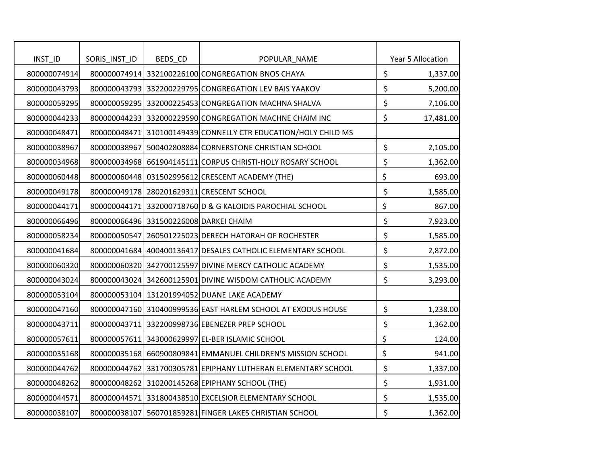| INST_ID      | SORIS_INST_ID | BEDS_CD                                | POPULAR_NAME                                                   | Year 5 Allocation |
|--------------|---------------|----------------------------------------|----------------------------------------------------------------|-------------------|
| 800000074914 |               |                                        | 800000074914 332100226100 CONGREGATION BNOS CHAYA              | \$<br>1,337.00    |
| 800000043793 |               |                                        | 800000043793 332200229795 CONGREGATION LEV BAIS YAAKOV         | \$<br>5,200.00    |
| 800000059295 |               |                                        | 800000059295 332000225453 CONGREGATION MACHNA SHALVA           | \$<br>7,106.00    |
| 800000044233 |               |                                        | 800000044233 332000229590 CONGREGATION MACHNE CHAIM INC        | \$<br>17,481.00   |
| 800000048471 |               |                                        | 800000048471 310100149439 CONNELLY CTR EDUCATION/HOLY CHILD MS |                   |
| 800000038967 |               |                                        | 800000038967 500402808884 CORNERSTONE CHRISTIAN SCHOOL         | \$<br>2,105.00    |
| 800000034968 |               |                                        | 800000034968 661904145111 CORPUS CHRISTI-HOLY ROSARY SCHOOL    | \$<br>1,362.00    |
| 800000060448 |               |                                        | 800000060448 031502995612 CRESCENT ACADEMY (THE)               | \$<br>693.00      |
| 800000049178 |               |                                        | 800000049178 280201629311 CRESCENT SCHOOL                      | \$<br>1,585.00    |
| 800000044171 |               |                                        | 800000044171 332000718760 D & G KALOIDIS PAROCHIAL SCHOOL      | \$<br>867.00      |
| 800000066496 |               | 800000066496 331500226008 DARKEI CHAIM |                                                                | \$<br>7,923.00    |
| 800000058234 |               |                                        | 800000050547 260501225023 DERECH HATORAH OF ROCHESTER          | \$<br>1,585.00    |
| 800000041684 |               |                                        | 800000041684 400400136417 DESALES CATHOLIC ELEMENTARY SCHOOL   | \$<br>2,872.00    |
| 800000060320 |               |                                        | 800000060320 342700125597 DIVINE MERCY CATHOLIC ACADEMY        | \$<br>1,535.00    |
| 800000043024 |               |                                        | 800000043024 342600125901 DIVINE WISDOM CATHOLIC ACADEMY       | \$<br>3,293.00    |
| 800000053104 |               |                                        | 800000053104 131201994052 DUANE LAKE ACADEMY                   |                   |
| 800000047160 |               |                                        | 800000047160 310400999536 EAST HARLEM SCHOOL AT EXODUS HOUSE   | \$<br>1,238.00    |
| 800000043711 |               |                                        | 800000043711 332200998736 EBENEZER PREP SCHOOL                 | \$<br>1,362.00    |
| 800000057611 |               |                                        | 800000057611 343000629997 EL-BER ISLAMIC SCHOOL                | \$<br>124.00      |
| 800000035168 |               |                                        | 800000035168 660900809841 EMMANUEL CHILDREN'S MISSION SCHOOL   | \$<br>941.00      |
| 800000044762 |               |                                        | 800000044762 331700305781 EPIPHANY LUTHERAN ELEMENTARY SCHOOL  | \$<br>1,337.00    |
| 800000048262 |               |                                        | 800000048262 310200145268 EPIPHANY SCHOOL (THE)                | \$<br>1,931.00    |
| 800000044571 |               |                                        | 800000044571 331800438510 EXCELSIOR ELEMENTARY SCHOOL          | \$<br>1,535.00    |
| 800000038107 |               |                                        | 800000038107 560701859281 FINGER LAKES CHRISTIAN SCHOOL        | \$<br>1,362.00    |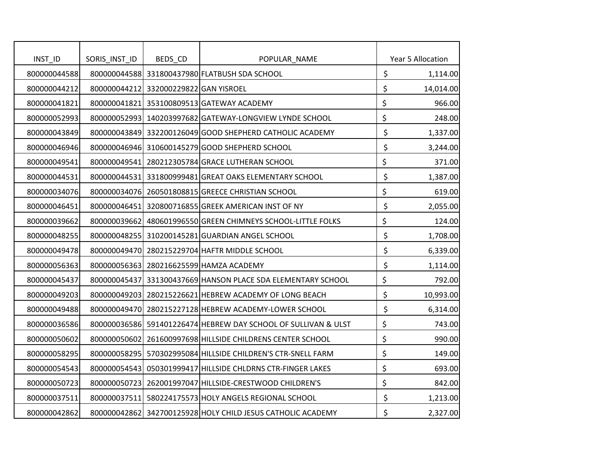| INST_ID      | SORIS_INST_ID | BEDS_CD                               | POPULAR_NAME                                                   | Year 5 Allocation |
|--------------|---------------|---------------------------------------|----------------------------------------------------------------|-------------------|
| 800000044588 |               |                                       | 800000044588 331800437980 FLATBUSH SDA SCHOOL                  | \$<br>1,114.00    |
| 800000044212 |               | 800000044212 332000229822 GAN YISROEL |                                                                | \$<br>14,014.00   |
| 800000041821 |               |                                       | 800000041821 353100809513 GATEWAY ACADEMY                      | \$<br>966.00      |
| 800000052993 |               |                                       | 800000052993 140203997682 GATEWAY-LONGVIEW LYNDE SCHOOL        | \$<br>248.00      |
| 800000043849 |               |                                       | 800000043849 332200126049 GOOD SHEPHERD CATHOLIC ACADEMY       | \$<br>1,337.00    |
| 800000046946 |               |                                       | 800000046946 310600145279 GOOD SHEPHERD SCHOOL                 | \$<br>3,244.00    |
| 800000049541 | 800000049541  |                                       | 280212305784 GRACE LUTHERAN SCHOOL                             | \$<br>371.00      |
| 800000044531 |               |                                       | 800000044531 331800999481 GREAT OAKS ELEMENTARY SCHOOL         | \$<br>1,387.00    |
| 800000034076 |               |                                       | 800000034076 260501808815 GREECE CHRISTIAN SCHOOL              | \$<br>619.00      |
| 800000046451 |               |                                       | 800000046451 320800716855 GREEK AMERICAN INST OF NY            | \$<br>2,055.00    |
| 800000039662 |               |                                       | 800000039662 480601996550 GREEN CHIMNEYS SCHOOL-LITTLE FOLKS   | \$<br>124.00      |
| 800000048255 |               |                                       | 800000048255 310200145281 GUARDIAN ANGEL SCHOOL                | \$<br>1,708.00    |
| 800000049478 |               |                                       | 800000049470 280215229704 HAFTR MIDDLE SCHOOL                  | \$<br>6,339.00    |
| 800000056363 |               |                                       | 800000056363 280216625599 HAMZA ACADEMY                        | \$<br>1,114.00    |
| 800000045437 |               |                                       | 800000045437 331300437669 HANSON PLACE SDA ELEMENTARY SCHOOL   | \$<br>792.00      |
| 800000049203 |               |                                       | 800000049203 280215226621 HEBREW ACADEMY OF LONG BEACH         | \$<br>10,993.00   |
| 800000049488 |               |                                       | 800000049470 280215227128 HEBREW ACADEMY-LOWER SCHOOL          | \$<br>6,314.00    |
| 800000036586 |               |                                       | 800000036586 591401226474 HEBREW DAY SCHOOL OF SULLIVAN & ULST | \$<br>743.00      |
| 800000050602 |               |                                       | 800000050602 261600997698 HILLSIDE CHILDRENS CENTER SCHOOL     | \$<br>990.00      |
| 800000058295 |               |                                       | 800000058295 570302995084 HILLSIDE CHILDREN'S CTR-SNELL FARM   | \$<br>149.00      |
| 800000054543 |               |                                       | 800000054543 050301999417 HILLSIDE CHLDRNS CTR-FINGER LAKES    | \$<br>693.00      |
| 800000050723 |               |                                       | 800000050723 262001997047 HILLSIDE-CRESTWOOD CHILDREN'S        | \$<br>842.00      |
| 800000037511 |               |                                       | 800000037511 580224175573 HOLY ANGELS REGIONAL SCHOOL          | \$<br>1,213.00    |
| 800000042862 |               |                                       | 800000042862 342700125928 HOLY CHILD JESUS CATHOLIC ACADEMY    | \$<br>2,327.00    |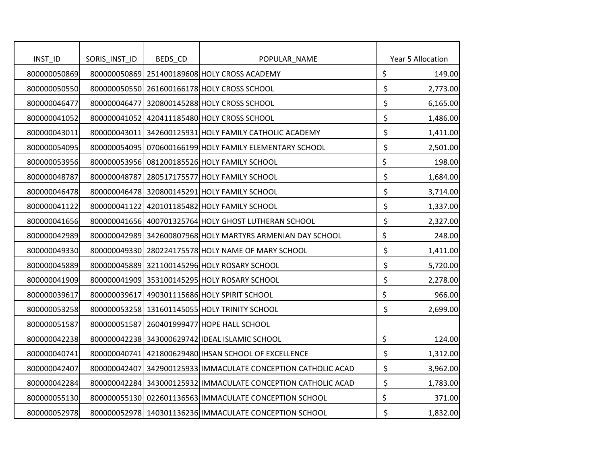| INST_ID      | SORIS_INST_ID | BEDS_CD | POPULAR_NAME                                                  |                      | Year 5 Allocation |
|--------------|---------------|---------|---------------------------------------------------------------|----------------------|-------------------|
| 800000050869 |               |         | 800000050869 251400189608 HOLY CROSS ACADEMY                  | \$                   | 149.00            |
| 800000050550 |               |         | 800000050550 261600166178 HOLY CROSS SCHOOL                   | $\boldsymbol{\zeta}$ | 2,773.00          |
| 800000046477 | 800000046477  |         | 320800145288 HOLY CROSS SCHOOL                                | \$                   | 6,165.00          |
| 800000041052 |               |         | 800000041052 420411185480 HOLY CROSS SCHOOL                   | \$                   | 1,486.00          |
| 800000043011 |               |         | 800000043011 342600125931 HOLY FAMILY CATHOLIC ACADEMY        | \$                   | 1,411.00          |
| 800000054095 |               |         | 800000054095 070600166199 HOLY FAMILY ELEMENTARY SCHOOL       | \$                   | 2,501.00          |
| 800000053956 |               |         | 800000053956 081200185526 HOLY FAMILY SCHOOL                  | \$                   | 198.00            |
| 800000048787 |               |         | 800000048787 280517175577 HOLY FAMILY SCHOOL                  | \$                   | 1,684.00          |
| 800000046478 |               |         | 800000046478 320800145291 HOLY FAMILY SCHOOL                  | \$                   | 3,714.00          |
| 800000041122 |               |         | 800000041122 420101185482 HOLY FAMILY SCHOOL                  | \$                   | 1,337.00          |
| 800000041656 |               |         | 800000041656 400701325764 HOLY GHOST LUTHERAN SCHOOL          | \$                   | 2,327.00          |
| 800000042989 |               |         | 800000042989 342600807968 HOLY MARTYRS ARMENIAN DAY SCHOOL    | \$                   | 248.00            |
| 800000049330 |               |         | 800000049330 280224175578 HOLY NAME OF MARY SCHOOL            | \$                   | 1,411.00          |
| 800000045889 |               |         | 800000045889 321100145296 HOLY ROSARY SCHOOL                  | \$                   | 5,720.00          |
| 800000041909 |               |         | 800000041909 353100145295 HOLY ROSARY SCHOOL                  | \$                   | 2,278.00          |
| 800000039617 |               |         | 800000039617 490301115686 HOLY SPIRIT SCHOOL                  | \$                   | 966.00            |
| 800000053258 |               |         | 800000053258 131601145055 HOLY TRINITY SCHOOL                 | \$                   | 2,699.00          |
| 800000051587 |               |         | 800000051587 260401999477 HOPE HALL SCHOOL                    |                      |                   |
| 800000042238 |               |         | 800000042238 343000629742 IDEAL ISLAMIC SCHOOL                | \$                   | 124.00            |
| 800000040741 |               |         | 800000040741 421800629480 IHSAN SCHOOL OF EXCELLENCE          | \$                   | 1,312.00          |
| 800000042407 |               |         | 800000042407 342900125933 IMMACULATE CONCEPTION CATHOLIC ACAD | \$                   | 3,962.00          |
| 800000042284 |               |         | 800000042284 343000125932 IMMACULATE CONCEPTION CATHOLIC ACAD | \$                   | 1,783.00          |
| 800000055130 |               |         | 800000055130 022601136563 IMMACULATE CONCEPTION SCHOOL        | \$                   | 371.00            |
| 800000052978 |               |         | 800000052978 140301136236 IMMACULATE CONCEPTION SCHOOL        | \$                   | 1,832.00          |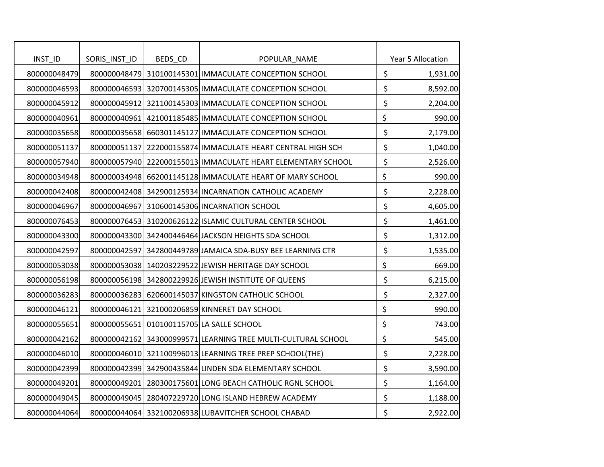| INTID        | SORIS_INST_ID | BEDS_CD | POPULAR_NAME                                                  | Year 5 Allocation |
|--------------|---------------|---------|---------------------------------------------------------------|-------------------|
| 800000048479 |               |         | 800000048479 310100145301 IMMACULATE CONCEPTION SCHOOL        | \$<br>1,931.00    |
| 800000046593 |               |         | 800000046593 320700145305 IMMACULATE CONCEPTION SCHOOL        | \$<br>8,592.00    |
| 800000045912 |               |         | 800000045912 321100145303 IMMACULATE CONCEPTION SCHOOL        | \$<br>2,204.00    |
| 800000040961 |               |         | 800000040961 421001185485 IMMACULATE CONCEPTION SCHOOL        | \$<br>990.00      |
| 800000035658 |               |         | 800000035658 660301145127 IMMACULATE CONCEPTION SCHOOL        | \$<br>2,179.00    |
| 800000051137 |               |         | 800000051137 222000155874 IMMACULATE HEART CENTRAL HIGH SCH   | \$<br>1,040.00    |
| 800000057940 |               |         | 800000057940 222000155013 IMMACULATE HEART ELEMENTARY SCHOOL  | \$<br>2,526.00    |
| 800000034948 |               |         | 800000034948 662001145128 IMMACULATE HEART OF MARY SCHOOL     | \$<br>990.00      |
| 800000042408 |               |         | 800000042408 342900125934 INCARNATION CATHOLIC ACADEMY        | \$<br>2,228.00    |
| 800000046967 | 800000046967  |         | 310600145306 INCARNATION SCHOOL                               | \$<br>4,605.00    |
| 800000076453 |               |         | 800000076453 310200626122 ISLAMIC CULTURAL CENTER SCHOOL      | \$<br>1,461.00    |
| 800000043300 |               |         | 800000043300 342400446464 JACKSON HEIGHTS SDA SCHOOL          | \$<br>1,312.00    |
| 800000042597 |               |         | 800000042597 342800449789 JAMAICA SDA-BUSY BEE LEARNING CTR   | \$<br>1,535.00    |
| 800000053038 |               |         | 800000053038 140203229522 JEWISH HERITAGE DAY SCHOOL          | \$<br>669.00      |
| 800000056198 |               |         | 800000056198 342800229926 JEWISH INSTITUTE OF QUEENS          | \$<br>6,215.00    |
| 800000036283 |               |         | 800000036283 620600145037 KINGSTON CATHOLIC SCHOOL            | \$<br>2,327.00    |
| 800000046121 |               |         | 800000046121 321000206859 KINNERET DAY SCHOOL                 | \$<br>990.00      |
| 800000055651 | 800000055651  |         | 010100115705 LA SALLE SCHOOL                                  | \$<br>743.00      |
| 800000042162 |               |         | 800000042162 343000999571 LEARNING TREE MULTI-CULTURAL SCHOOL | \$<br>545.00      |
| 800000046010 |               |         | 800000046010 321100996013 LEARNING TREE PREP SCHOOL(THE)      | \$<br>2,228.00    |
| 800000042399 |               |         | 800000042399 342900435844 LINDEN SDA ELEMENTARY SCHOOL        | \$<br>3,590.00    |
| 800000049201 |               |         | 800000049201 280300175601 LONG BEACH CATHOLIC RGNL SCHOOL     | \$<br>1,164.00    |
| 800000049045 |               |         | 800000049045 280407229720 LONG ISLAND HEBREW ACADEMY          | \$<br>1,188.00    |
| 800000044064 |               |         | 800000044064 332100206938 LUBAVITCHER SCHOOL CHABAD           | \$<br>2,922.00    |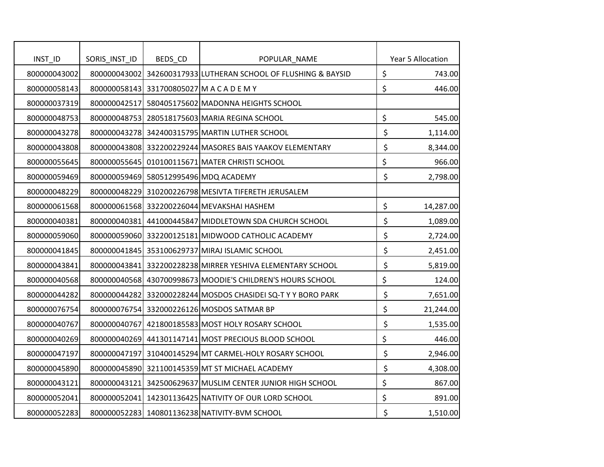|                         |               |         |                                                                                |                           | Year 5 Allocation |
|-------------------------|---------------|---------|--------------------------------------------------------------------------------|---------------------------|-------------------|
| INST_ID<br>800000043002 | SORIS_INST_ID | BEDS_CD | POPULAR_NAME<br>800000043002 342600317933 LUTHERAN SCHOOL OF FLUSHING & BAYSID | \$                        | 743.00            |
|                         |               |         |                                                                                |                           |                   |
| 800000058143            |               |         | 800000058143 331700805027 M A C A D E M Y                                      | \$                        | 446.00            |
| 800000037319            | 800000042517  |         | 580405175602 MADONNA HEIGHTS SCHOOL                                            |                           |                   |
| 800000048753            |               |         | 800000048753 280518175603 MARIA REGINA SCHOOL                                  | \$                        | 545.00            |
| 800000043278            |               |         | 800000043278 342400315795 MARTIN LUTHER SCHOOL                                 | \$                        | 1,114.00          |
| 800000043808            |               |         | 800000043808 332200229244 MASORES BAIS YAAKOV ELEMENTARY                       | \$                        | 8,344.00          |
| 800000055645            |               |         | 800000055645 010100115671 MATER CHRISTI SCHOOL                                 | \$                        | 966.00            |
| 800000059469            |               |         | 800000059469 580512995496 MDQ ACADEMY                                          | \$                        | 2,798.00          |
| 800000048229            |               |         | 800000048229 310200226798 MESIVTA TIFERETH JERUSALEM                           |                           |                   |
| 800000061568            |               |         | 800000061568 332200226044 MEVAKSHAI HASHEM                                     | \$                        | 14,287.00         |
| 800000040381            |               |         | 800000040381 441000445847 MIDDLETOWN SDA CHURCH SCHOOL                         | \$                        | 1,089.00          |
| 800000059060            |               |         | 800000059060 332200125181 MIDWOOD CATHOLIC ACADEMY                             | \$                        | 2,724.00          |
| 800000041845            |               |         | 800000041845 353100629737 MIRAJ ISLAMIC SCHOOL                                 | \$                        | 2,451.00          |
| 800000043841            |               |         | 800000043841 332200228238 MIRRER YESHIVA ELEMENTARY SCHOOL                     | $\boldsymbol{\mathsf{S}}$ | 5,819.00          |
| 800000040568            |               |         | 800000040568 430700998673 MOODIE'S CHILDREN'S HOURS SCHOOL                     | \$                        | 124.00            |
| 800000044282            |               |         | 800000044282 332000228244 MOSDOS CHASIDEI SQ-T Y Y BORO PARK                   | \$                        | 7,651.00          |
| 800000076754            |               |         | 800000076754 332000226126 MOSDOS SATMAR BP                                     | \$                        | 21,244.00         |
| 800000040767            |               |         | 800000040767 421800185583 MOST HOLY ROSARY SCHOOL                              | \$                        | 1,535.00          |
| 800000040269            |               |         | 800000040269 441301147141 MOST PRECIOUS BLOOD SCHOOL                           | \$                        | 446.00            |
| 800000047197            |               |         | 800000047197 310400145294 MT CARMEL-HOLY ROSARY SCHOOL                         | \$                        | 2,946.00          |
| 800000045890            |               |         | 800000045890 321100145359 MT ST MICHAEL ACADEMY                                | \$                        | 4,308.00          |
| 800000043121            |               |         | 800000043121 342500629637 MUSLIM CENTER JUNIOR HIGH SCHOOL                     | \$                        | 867.00            |
| 800000052041            |               |         | 800000052041 142301136425 NATIVITY OF OUR LORD SCHOOL                          | \$                        | 891.00            |
| 800000052283            |               |         | 800000052283 140801136238 NATIVITY-BVM SCHOOL                                  | \$                        | 1,510.00          |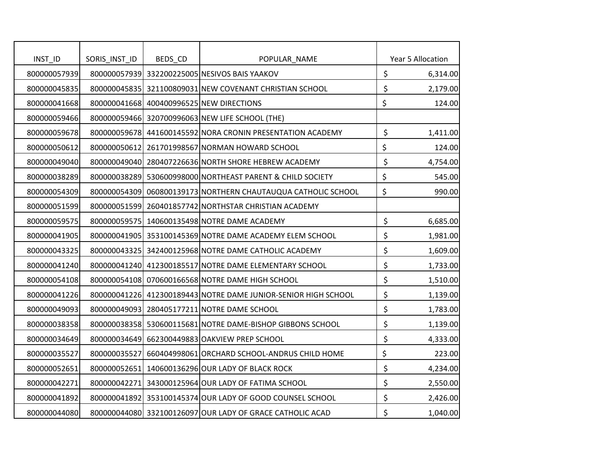| INST_ID      | SORIS_INST_ID | BEDS_CD | POPULAR_NAME                                                   | Year 5 Allocation |
|--------------|---------------|---------|----------------------------------------------------------------|-------------------|
| 800000057939 |               |         | 800000057939 332200225005 NESIVOS BAIS YAAKOV                  | \$<br>6,314.00    |
| 800000045835 |               |         | 800000045835 321100809031 NEW COVENANT CHRISTIAN SCHOOL        | \$<br>2,179.00    |
| 800000041668 |               |         | 800000041668 400400996525 NEW DIRECTIONS                       | \$<br>124.00      |
| 800000059466 |               |         | 800000059466 320700996063 NEW LIFE SCHOOL (THE)                |                   |
| 800000059678 |               |         | 800000059678 441600145592 NORA CRONIN PRESENTATION ACADEMY     | \$<br>1,411.00    |
| 800000050612 |               |         | 800000050612 261701998567 NORMAN HOWARD SCHOOL                 | \$<br>124.00      |
| 800000049040 | 800000049040  |         | 280407226636 NORTH SHORE HEBREW ACADEMY                        | \$<br>4,754.00    |
| 800000038289 |               |         | 800000038289 530600998000 NORTHEAST PARENT & CHILD SOCIETY     | \$<br>545.00      |
| 800000054309 |               |         | 800000054309 060800139173 NORTHERN CHAUTAUQUA CATHOLIC SCHOOL  | \$<br>990.00      |
| 800000051599 |               |         | 800000051599 260401857742 NORTHSTAR CHRISTIAN ACADEMY          |                   |
| 800000059575 |               |         | 800000059575 140600135498 NOTRE DAME ACADEMY                   | \$<br>6,685.00    |
| 800000041905 |               |         | 800000041905 353100145369 NOTRE DAME ACADEMY ELEM SCHOOL       | \$<br>1,981.00    |
| 800000043325 |               |         | 800000043325 342400125968 NOTRE DAME CATHOLIC ACADEMY          | \$<br>1,609.00    |
| 800000041240 |               |         | 800000041240 412300185517 NOTRE DAME ELEMENTARY SCHOOL         | \$<br>1,733.00    |
| 800000054108 |               |         | 800000054108 070600166568 NOTRE DAME HIGH SCHOOL               | \$<br>1,510.00    |
| 800000041226 |               |         | 800000041226 412300189443 NOTRE DAME JUNIOR-SENIOR HIGH SCHOOL | \$<br>1,139.00    |
| 800000049093 |               |         | 800000049093 280405177211 NOTRE DAME SCHOOL                    | \$<br>1,783.00    |
| 800000038358 |               |         | 800000038358 530600115681 NOTRE DAME-BISHOP GIBBONS SCHOOL     | \$<br>1,139.00    |
| 800000034649 | 800000034649  |         | 662300449883 OAKVIEW PREP SCHOOL                               | \$<br>4,333.00    |
| 800000035527 | 800000035527  |         | 660404998061 ORCHARD SCHOOL-ANDRUS CHILD HOME                  | \$<br>223.00      |
| 800000052651 |               |         | 800000052651 140600136296 OUR LADY OF BLACK ROCK               | \$<br>4,234.00    |
| 800000042271 |               |         | 800000042271 343000125964 OUR LADY OF FATIMA SCHOOL            | \$<br>2,550.00    |
| 800000041892 |               |         | 800000041892 353100145374 OUR LADY OF GOOD COUNSEL SCHOOL      | \$<br>2,426.00    |
| 800000044080 |               |         | 800000044080 332100126097 OUR LADY OF GRACE CATHOLIC ACAD      | \$<br>1,040.00    |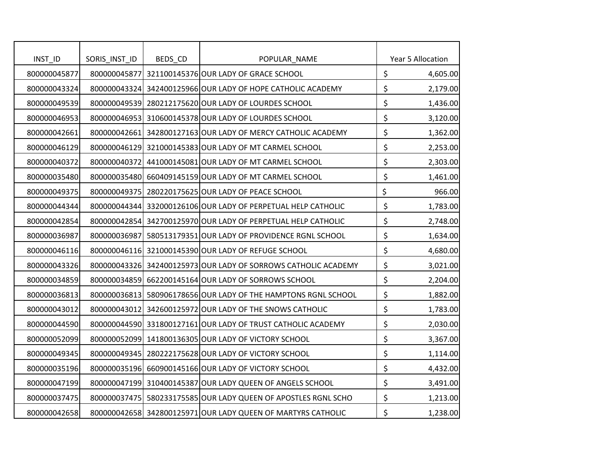| INST_ID      | SORIS_INST_ID | BEDS_CD | POPULAR_NAME                                                   | Year 5 Allocation |
|--------------|---------------|---------|----------------------------------------------------------------|-------------------|
| 800000045877 | 800000045877  |         | 321100145376 OUR LADY OF GRACE SCHOOL                          | \$<br>4,605.00    |
| 800000043324 |               |         | 800000043324 342400125966 OUR LADY OF HOPE CATHOLIC ACADEMY    | \$<br>2,179.00    |
| 800000049539 |               |         | 800000049539 280212175620 OUR LADY OF LOURDES SCHOOL           | \$<br>1,436.00    |
| 800000046953 |               |         | 800000046953 310600145378 OUR LADY OF LOURDES SCHOOL           | \$<br>3,120.00    |
| 800000042661 |               |         | 800000042661 342800127163 OUR LADY OF MERCY CATHOLIC ACADEMY   | \$<br>1,362.00    |
| 800000046129 |               |         | 800000046129 321000145383 OUR LADY OF MT CARMEL SCHOOL         | \$<br>2,253.00    |
| 800000040372 |               |         | 800000040372 441000145081 OUR LADY OF MT CARMEL SCHOOL         | \$<br>2,303.00    |
| 800000035480 |               |         | 800000035480 660409145159 OUR LADY OF MT CARMEL SCHOOL         | \$<br>1,461.00    |
| 800000049375 |               |         | 800000049375 280220175625 OUR LADY OF PEACE SCHOOL             | \$<br>966.00      |
| 800000044344 |               |         | 800000044344 332000126106 OUR LADY OF PERPETUAL HELP CATHOLIC  | \$<br>1,783.00    |
| 800000042854 |               |         | 800000042854 342700125970 OUR LADY OF PERPETUAL HELP CATHOLIC  | \$<br>2,748.00    |
| 800000036987 | 800000036987  |         | 580513179351 OUR LADY OF PROVIDENCE RGNL SCHOOL                | \$<br>1,634.00    |
| 800000046116 |               |         | 800000046116 321000145390 OUR LADY OF REFUGE SCHOOL            | \$<br>4,680.00    |
| 800000043326 |               |         | 800000043326 342400125973 OUR LADY OF SORROWS CATHOLIC ACADEMY | \$<br>3,021.00    |
| 800000034859 |               |         | 800000034859 662200145164 OUR LADY OF SORROWS SCHOOL           | \$<br>2,204.00    |
| 800000036813 |               |         | 800000036813 580906178656 OUR LADY OF THE HAMPTONS RGNL SCHOOL | \$<br>1,882.00    |
| 800000043012 |               |         | 800000043012 342600125972 OUR LADY OF THE SNOWS CATHOLIC       | \$<br>1,783.00    |
| 800000044590 |               |         | 800000044590 331800127161 OUR LADY OF TRUST CATHOLIC ACADEMY   | \$<br>2,030.00    |
| 800000052099 |               |         | 800000052099 141800136305 OUR LADY OF VICTORY SCHOOL           | \$<br>3,367.00    |
| 800000049345 |               |         | 800000049345 280222175628 OUR LADY OF VICTORY SCHOOL           | \$<br>1,114.00    |
| 800000035196 |               |         | 800000035196 660900145166 OUR LADY OF VICTORY SCHOOL           | \$<br>4,432.00    |
| 800000047199 |               |         | 800000047199 310400145387 OUR LADY QUEEN OF ANGELS SCHOOL      | \$<br>3,491.00    |
| 800000037475 |               |         | 800000037475 580233175585 OUR LADY QUEEN OF APOSTLES RGNL SCHO | \$<br>1,213.00    |
| 800000042658 |               |         | 800000042658 342800125971 OUR LADY QUEEN OF MARTYRS CATHOLIC   | \$<br>1,238.00    |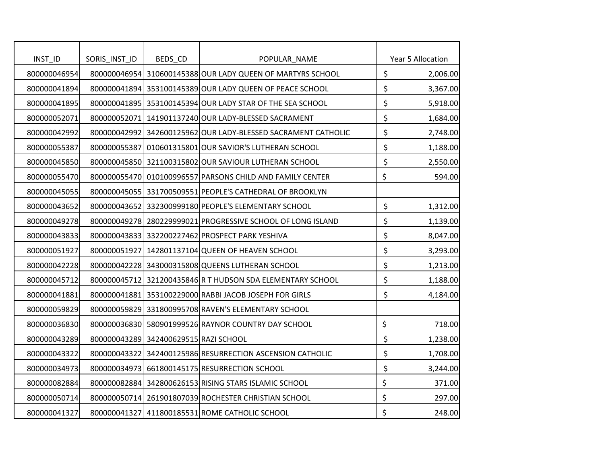| INST_ID      | SORIS_INST_ID | BEDS_CD                               | POPULAR_NAME                                                  |                           | Year 5 Allocation |
|--------------|---------------|---------------------------------------|---------------------------------------------------------------|---------------------------|-------------------|
| 800000046954 |               |                                       | 800000046954 310600145388 OUR LADY QUEEN OF MARTYRS SCHOOL    | \$                        | 2,006.00          |
| 800000041894 |               |                                       | 800000041894 353100145389 OUR LADY QUEEN OF PEACE SCHOOL      | \$                        | 3,367.00          |
| 800000041895 |               |                                       | 800000041895 353100145394 OUR LADY STAR OF THE SEA SCHOOL     | $\boldsymbol{\mathsf{S}}$ | 5,918.00          |
| 800000052071 |               |                                       | 800000052071 141901137240 OUR LADY-BLESSED SACRAMENT          | \$                        | 1,684.00          |
| 800000042992 |               |                                       | 800000042992 342600125962 OUR LADY-BLESSED SACRAMENT CATHOLIC | \$                        | 2,748.00          |
| 800000055387 |               |                                       | 800000055387 010601315801 OUR SAVIOR'S LUTHERAN SCHOOL        | \$                        | 1,188.00          |
| 800000045850 |               |                                       | 800000045850 321100315802 OUR SAVIOUR LUTHERAN SCHOOL         | \$                        | 2,550.00          |
| 800000055470 |               |                                       | 800000055470 010100996557 PARSONS CHILD AND FAMILY CENTER     | \$                        | 594.00            |
| 800000045055 |               |                                       | 800000045055 331700509551 PEOPLE'S CATHEDRAL OF BROOKLYN      |                           |                   |
| 800000043652 |               |                                       | 800000043652 332300999180 PEOPLE'S ELEMENTARY SCHOOL          | \$                        | 1,312.00          |
| 800000049278 |               |                                       | 800000049278 280229999021 PROGRESSIVE SCHOOL OF LONG ISLAND   | \$                        | 1,139.00          |
| 800000043833 |               |                                       | 800000043833 332200227462 PROSPECT PARK YESHIVA               | \$                        | 8,047.00          |
| 800000051927 |               |                                       | 800000051927 142801137104 QUEEN OF HEAVEN SCHOOL              | \$                        | 3,293.00          |
| 800000042228 |               |                                       | 800000042228 343000315808 QUEENS LUTHERAN SCHOOL              | \$                        | 1,213.00          |
| 800000045712 |               |                                       | 800000045712 321200435846 R T HUDSON SDA ELEMENTARY SCHOOL    | \$                        | 1,188.00          |
| 800000041881 |               |                                       | 800000041881 353100229000 RABBI JACOB JOSEPH FOR GIRLS        | \$                        | 4,184.00          |
| 800000059829 |               |                                       | 800000059829 331800995708 RAVEN'S ELEMENTARY SCHOOL           |                           |                   |
| 800000036830 |               |                                       | 800000036830 580901999526 RAYNOR COUNTRY DAY SCHOOL           | \$                        | 718.00            |
| 800000043289 |               | 800000043289 342400629515 RAZI SCHOOL |                                                               | \$                        | 1,238.00          |
| 800000043322 |               |                                       | 800000043322 342400125986 RESURRECTION ASCENSION CATHOLIC     | \$                        | 1,708.00          |
| 800000034973 |               |                                       | 800000034973 661800145175 RESURRECTION SCHOOL                 | \$                        | 3,244.00          |
| 800000082884 |               |                                       | 800000082884 342800626153 RISING STARS ISLAMIC SCHOOL         | \$                        | 371.00            |
| 800000050714 |               |                                       | 800000050714 261901807039 ROCHESTER CHRISTIAN SCHOOL          | \$                        | 297.00            |
| 800000041327 |               |                                       | 800000041327 411800185531 ROME CATHOLIC SCHOOL                | \$                        | 248.00            |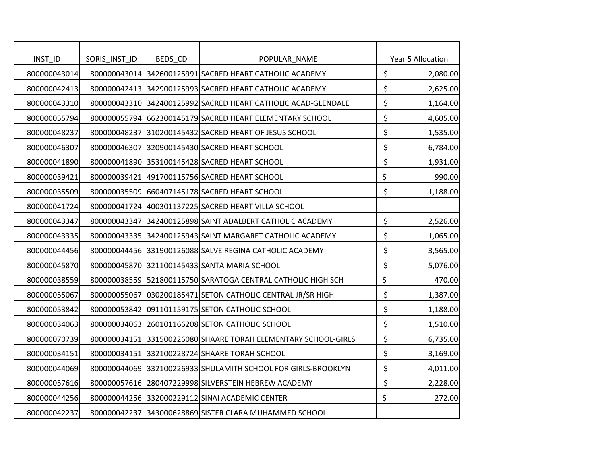|                       |               |         |                                                                         | Year 5 Allocation |
|-----------------------|---------------|---------|-------------------------------------------------------------------------|-------------------|
| INTID<br>800000043014 | SORIS_INST_ID | BEDS_CD | POPULAR_NAME<br>800000043014 342600125991 SACRED HEART CATHOLIC ACADEMY | \$                |
|                       |               |         | 800000042413 342900125993 SACRED HEART CATHOLIC ACADEMY                 | \$<br>2,080.00    |
| 800000042413          |               |         |                                                                         | 2,625.00          |
| 800000043310          |               |         | 800000043310 342400125992 SACRED HEART CATHOLIC ACAD-GLENDALE           | \$<br>1,164.00    |
| 800000055794          |               |         | 800000055794 662300145179 SACRED HEART ELEMENTARY SCHOOL                | \$<br>4,605.00    |
| 800000048237          |               |         | 800000048237 310200145432 SACRED HEART OF JESUS SCHOOL                  | \$<br>1,535.00    |
| 800000046307          |               |         | 800000046307 320900145430 SACRED HEART SCHOOL                           | \$<br>6,784.00    |
| 800000041890          |               |         | 800000041890 353100145428 SACRED HEART SCHOOL                           | \$<br>1,931.00    |
| 800000039421          |               |         | 800000039421 491700115756 SACRED HEART SCHOOL                           | \$<br>990.00      |
| 800000035509          |               |         | 800000035509 660407145178 SACRED HEART SCHOOL                           | \$<br>1,188.00    |
| 800000041724          |               |         | 800000041724 400301137225 SACRED HEART VILLA SCHOOL                     |                   |
| 800000043347          |               |         | 800000043347 342400125898 SAINT ADALBERT CATHOLIC ACADEMY               | \$<br>2,526.00    |
| 800000043335          |               |         | 800000043335 342400125943 SAINT MARGARET CATHOLIC ACADEMY               | \$<br>1,065.00    |
| 800000044456          |               |         | 800000044456 331900126088 SALVE REGINA CATHOLIC ACADEMY                 | \$<br>3,565.00    |
| 800000045870          |               |         | 800000045870 321100145433 SANTA MARIA SCHOOL                            | \$<br>5,076.00    |
| 800000038559          |               |         | 800000038559 521800115750 SARATOGA CENTRAL CATHOLIC HIGH SCH            | \$<br>470.00      |
| 800000055067          | 800000055067  |         | 030200185471 SETON CATHOLIC CENTRAL JR/SR HIGH                          | \$<br>1,387.00    |
| 800000053842          | 800000053842  |         | 091101159175 SETON CATHOLIC SCHOOL                                      | \$<br>1,188.00    |
| 800000034063          |               |         | 800000034063 260101166208 SETON CATHOLIC SCHOOL                         | \$<br>1,510.00    |
| 800000070739          |               |         | 800000034151 331500226080 SHAARE TORAH ELEMENTARY SCHOOL-GIRLS          | \$<br>6,735.00    |
| 800000034151          |               |         | 800000034151 332100228724 SHAARE TORAH SCHOOL                           | \$<br>3,169.00    |
| 800000044069          |               |         | 800000044069 332100226933 SHULAMITH SCHOOL FOR GIRLS-BROOKLYN           | \$<br>4,011.00    |
| 800000057616          |               |         | 800000057616 280407229998 SILVERSTEIN HEBREW ACADEMY                    | \$<br>2,228.00    |
| 800000044256          |               |         | 800000044256 332000229112 SINAI ACADEMIC CENTER                         | \$<br>272.00      |
| 800000042237          |               |         | 800000042237 343000628869 SISTER CLARA MUHAMMED SCHOOL                  |                   |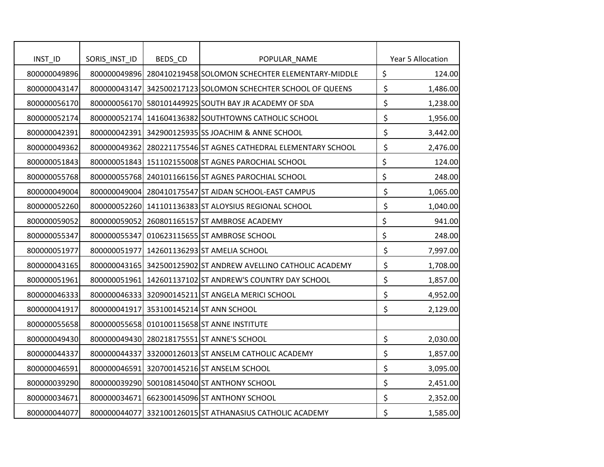| INST_ID      | SORIS_INST_ID | BEDS_CD | POPULAR_NAME                                                   | Year 5 Allocation |
|--------------|---------------|---------|----------------------------------------------------------------|-------------------|
| 800000049896 |               |         | 800000049896 280410219458 SOLOMON SCHECHTER ELEMENTARY-MIDDLE  | \$<br>124.00      |
| 800000043147 |               |         | 800000043147 342500217123 SOLOMON SCHECHTER SCHOOL OF QUEENS   | \$<br>1,486.00    |
| 800000056170 |               |         | 800000056170 580101449925 SOUTH BAY JR ACADEMY OF SDA          | \$<br>1,238.00    |
| 800000052174 |               |         | 800000052174 141604136382 SOUTHTOWNS CATHOLIC SCHOOL           | \$<br>1,956.00    |
| 800000042391 |               |         | 800000042391 342900125935 SS JOACHIM & ANNE SCHOOL             | \$<br>3,442.00    |
| 800000049362 |               |         | 800000049362 280221175546 ST AGNES CATHEDRAL ELEMENTARY SCHOOL | \$<br>2,476.00    |
| 800000051843 |               |         | 800000051843 151102155008 ST AGNES PAROCHIAL SCHOOL            | \$<br>124.00      |
| 800000055768 |               |         | 800000055768 240101166156 ST AGNES PAROCHIAL SCHOOL            | \$<br>248.00      |
| 800000049004 |               |         | 800000049004 280410175547 ST AIDAN SCHOOL-EAST CAMPUS          | \$<br>1,065.00    |
| 800000052260 |               |         | 800000052260 141101136383 ST ALOYSIUS REGIONAL SCHOOL          | \$<br>1,040.00    |
| 800000059052 |               |         | 800000059052 260801165157 ST AMBROSE ACADEMY                   | \$<br>941.00      |
| 800000055347 | 800000055347  |         | 010623115655 ST AMBROSE SCHOOL                                 | \$<br>248.00      |
| 800000051977 |               |         | 800000051977 142601136293 ST AMELIA SCHOOL                     | \$<br>7,997.00    |
| 800000043165 |               |         | 800000043165 342500125902 ST ANDREW AVELLINO CATHOLIC ACADEMY  | \$<br>1,708.00    |
| 800000051961 |               |         | 800000051961 142601137102 ST ANDREW'S COUNTRY DAY SCHOOL       | \$<br>1,857.00    |
| 800000046333 |               |         | 800000046333 320900145211 ST ANGELA MERICI SCHOOL              | \$<br>4,952.00    |
| 800000041917 |               |         | 800000041917 353100145214 ST ANN SCHOOL                        | \$<br>2,129.00    |
| 800000055658 |               |         | 800000055658 010100115658 ST ANNE INSTITUTE                    |                   |
| 800000049430 |               |         | 800000049430 280218175551 ST ANNE'S SCHOOL                     | \$<br>2,030.00    |
| 800000044337 | 800000044337  |         | 332000126013 ST ANSELM CATHOLIC ACADEMY                        | \$<br>1,857.00    |
| 800000046591 |               |         | 800000046591 320700145216 ST ANSELM SCHOOL                     | \$<br>3,095.00    |
| 800000039290 |               |         | 800000039290 500108145040 ST ANTHONY SCHOOL                    | \$<br>2,451.00    |
| 800000034671 |               |         | 800000034671 662300145096 ST ANTHONY SCHOOL                    | \$<br>2,352.00    |
| 800000044077 |               |         | 800000044077 332100126015 ST ATHANASIUS CATHOLIC ACADEMY       | \$<br>1,585.00    |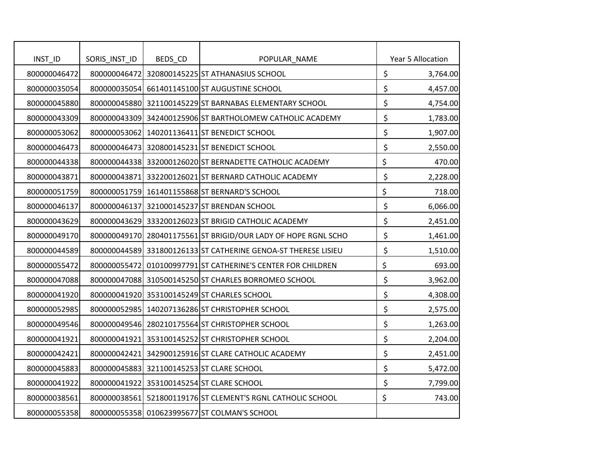| INTID        | SORIS_INST_ID | BEDS_CD | POPULAR_NAME                                                   | Year 5 Allocation |
|--------------|---------------|---------|----------------------------------------------------------------|-------------------|
| 800000046472 |               |         | 800000046472 320800145225 ST ATHANASIUS SCHOOL                 | \$<br>3,764.00    |
| 800000035054 |               |         | 800000035054 661401145100 ST AUGUSTINE SCHOOL                  | \$<br>4,457.00    |
| 800000045880 |               |         | 800000045880 321100145229 ST BARNABAS ELEMENTARY SCHOOL        | \$<br>4,754.00    |
| 800000043309 |               |         | 800000043309 342400125906 ST BARTHOLOMEW CATHOLIC ACADEMY      | \$<br>1,783.00    |
| 800000053062 |               |         | 800000053062 140201136411 ST BENEDICT SCHOOL                   | \$<br>1,907.00    |
| 800000046473 |               |         | 800000046473 320800145231 ST BENEDICT SCHOOL                   |                   |
|              |               |         |                                                                | \$<br>2,550.00    |
| 800000044338 |               |         | 800000044338 332000126020 ST BERNADETTE CATHOLIC ACADEMY       | \$<br>470.00      |
| 800000043871 |               |         | 800000043871 332200126021 ST BERNARD CATHOLIC ACADEMY          | \$<br>2,228.00    |
| 800000051759 |               |         | 800000051759 161401155868 ST BERNARD'S SCHOOL                  | \$<br>718.00      |
| 800000046137 |               |         | 800000046137 321000145237 ST BRENDAN SCHOOL                    | \$<br>6,066.00    |
| 800000043629 |               |         | 800000043629 333200126023 ST BRIGID CATHOLIC ACADEMY           | \$<br>2,451.00    |
| 800000049170 |               |         | 800000049170 280401175561 ST BRIGID/OUR LADY OF HOPE RGNL SCHO | \$<br>1,461.00    |
| 800000044589 |               |         | 800000044589 331800126133 ST CATHERINE GENOA-ST THERESE LISIEU | \$<br>1,510.00    |
| 800000055472 |               |         | 800000055472 010100997791 ST CATHERINE'S CENTER FOR CHILDREN   | \$<br>693.00      |
| 800000047088 |               |         | 800000047088 310500145250 ST CHARLES BORROMEO SCHOOL           | \$<br>3,962.00    |
| 800000041920 |               |         | 800000041920 353100145249 ST CHARLES SCHOOL                    | \$<br>4,308.00    |
| 800000052985 |               |         | 800000052985 140207136286 ST CHRISTOPHER SCHOOL                | \$<br>2,575.00    |
| 800000049546 |               |         | 800000049546 280210175564 ST CHRISTOPHER SCHOOL                | \$<br>1,263.00    |
| 800000041921 |               |         | 800000041921 353100145252 ST CHRISTOPHER SCHOOL                | \$<br>2,204.00    |
| 800000042421 |               |         | 800000042421 342900125916 ST CLARE CATHOLIC ACADEMY            | \$<br>2,451.00    |
| 800000045883 |               |         | 800000045883 321100145253 ST CLARE SCHOOL                      | \$<br>5,472.00    |
| 800000041922 |               |         | 800000041922 353100145254 ST CLARE SCHOOL                      | \$<br>7,799.00    |
| 800000038561 |               |         | 800000038561 521800119176 ST CLEMENT'S RGNL CATHOLIC SCHOOL    | \$<br>743.00      |
| 800000055358 |               |         | 800000055358 010623995677 ST COLMAN'S SCHOOL                   |                   |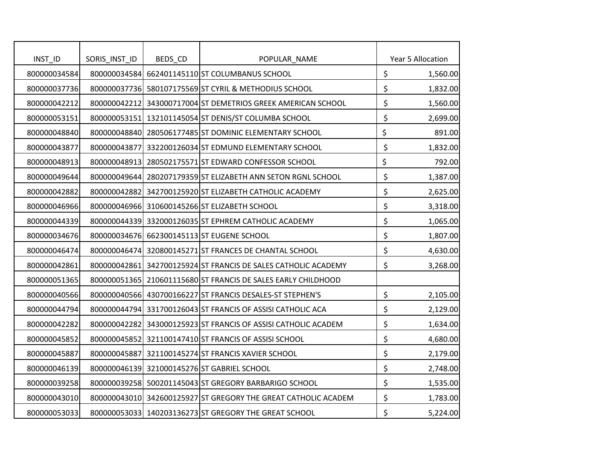| INST_ID      | SORIS_INST_ID | BEDS_CD | POPULAR_NAME                                                   | Year 5 Allocation |
|--------------|---------------|---------|----------------------------------------------------------------|-------------------|
| 800000034584 |               |         | 800000034584 662401145110 ST COLUMBANUS SCHOOL                 | \$<br>1,560.00    |
| 800000037736 |               |         | 800000037736 580107175569 ST CYRIL & METHODIUS SCHOOL          | \$<br>1,832.00    |
| 800000042212 |               |         | 800000042212 343000717004 ST DEMETRIOS GREEK AMERICAN SCHOOL   | \$<br>1,560.00    |
| 800000053151 |               |         | 800000053151 132101145054 ST DENIS/ST COLUMBA SCHOOL           | \$<br>2,699.00    |
| 800000048840 |               |         | 800000048840 280506177485 ST DOMINIC ELEMENTARY SCHOOL         | \$<br>891.00      |
| 800000043877 |               |         | 800000043877 332200126034 ST EDMUND ELEMENTARY SCHOOL          | \$<br>1,832.00    |
| 800000048913 |               |         | 800000048913 280502175571 ST EDWARD CONFESSOR SCHOOL           | \$<br>792.00      |
| 800000049644 |               |         | 800000049644 280207179359 ST ELIZABETH ANN SETON RGNL SCHOOL   | \$<br>1,387.00    |
| 800000042882 |               |         | 800000042882 342700125920 ST ELIZABETH CATHOLIC ACADEMY        | \$<br>2,625.00    |
| 800000046966 |               |         | 800000046966 310600145266 ST ELIZABETH SCHOOL                  | \$<br>3,318.00    |
| 800000044339 |               |         | 800000044339 332000126035 ST EPHREM CATHOLIC ACADEMY           | \$<br>1,065.00    |
| 800000034676 |               |         | 800000034676 662300145113 ST EUGENE SCHOOL                     | \$<br>1,807.00    |
| 800000046474 |               |         | 800000046474 320800145271 ST FRANCES DE CHANTAL SCHOOL         | \$<br>4,630.00    |
| 800000042861 |               |         | 800000042861 342700125924 ST FRANCIS DE SALES CATHOLIC ACADEMY | \$<br>3,268.00    |
| 800000051365 |               |         | 800000051365 210601115680 ST FRANCIS DE SALES EARLY CHILDHOOD  |                   |
| 800000040566 |               |         | 800000040566 430700166227 ST FRANCIS DESALES-ST STEPHEN'S      | \$<br>2,105.00    |
| 800000044794 |               |         | 800000044794 331700126043 ST FRANCIS OF ASSISI CATHOLIC ACA    | \$<br>2,129.00    |
| 800000042282 |               |         | 800000042282 343000125923 ST FRANCIS OF ASSISI CATHOLIC ACADEM | \$<br>1,634.00    |
| 800000045852 |               |         | 800000045852 321100147410 ST FRANCIS OF ASSISI SCHOOL          | \$<br>4,680.00    |
| 800000045887 |               |         | 800000045887 321100145274 ST FRANCIS XAVIER SCHOOL             | \$<br>2,179.00    |
| 800000046139 |               |         | 800000046139 321000145276 ST GABRIEL SCHOOL                    | \$<br>2,748.00    |
| 800000039258 |               |         | 800000039258 500201145043 ST GREGORY BARBARIGO SCHOOL          | \$<br>1,535.00    |
| 800000043010 |               |         | 800000043010 342600125927 ST GREGORY THE GREAT CATHOLIC ACADEM | \$<br>1,783.00    |
| 800000053033 |               |         | 800000053033 140203136273 ST GREGORY THE GREAT SCHOOL          | \$<br>5,224.00    |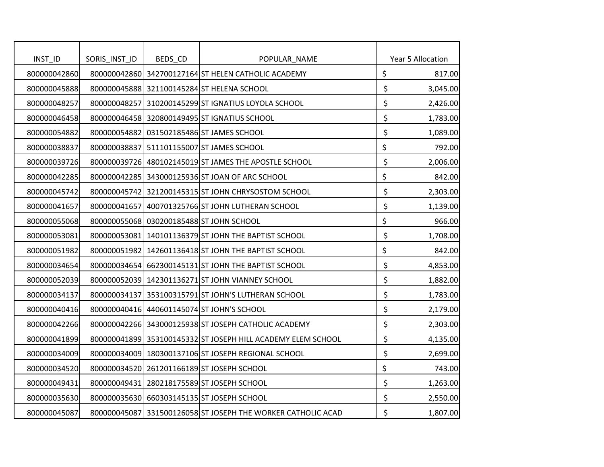| INST_ID      | SORIS_INST_ID | BEDS_CD | POPULAR_NAME                                                 |                      | Year 5 Allocation |
|--------------|---------------|---------|--------------------------------------------------------------|----------------------|-------------------|
| 800000042860 |               |         | 800000042860 342700127164 ST HELEN CATHOLIC ACADEMY          | \$                   | 817.00            |
| 800000045888 |               |         | 800000045888 321100145284 ST HELENA SCHOOL                   | $\boldsymbol{\zeta}$ | 3,045.00          |
| 800000048257 | 800000048257  |         | 310200145299 ST IGNATIUS LOYOLA SCHOOL                       | \$                   | 2,426.00          |
| 800000046458 |               |         | 800000046458 320800149495 ST IGNATIUS SCHOOL                 | \$                   | 1,783.00          |
| 800000054882 |               |         | 800000054882 031502185486 ST JAMES SCHOOL                    | \$                   | 1,089.00          |
| 800000038837 | 800000038837  |         | 511101155007 ST JAMES SCHOOL                                 | \$                   |                   |
|              |               |         |                                                              |                      | 792.00            |
| 800000039726 |               |         | 800000039726 480102145019 ST JAMES THE APOSTLE SCHOOL        | \$                   | 2,006.00          |
| 800000042285 |               |         | 800000042285 343000125936 ST JOAN OF ARC SCHOOL              | \$                   | 842.00            |
| 800000045742 |               |         | 800000045742 321200145315 ST JOHN CHRYSOSTOM SCHOOL          | \$                   | 2,303.00          |
| 800000041657 | 800000041657  |         | 400701325766 ST JOHN LUTHERAN SCHOOL                         | \$                   | 1,139.00          |
| 800000055068 |               |         | 800000055068 030200185488 ST JOHN SCHOOL                     | \$                   | 966.00            |
| 800000053081 |               |         | 800000053081 140101136379 ST JOHN THE BAPTIST SCHOOL         | \$                   | 1,708.00          |
| 800000051982 |               |         | 800000051982 142601136418 ST JOHN THE BAPTIST SCHOOL         | \$                   | 842.00            |
| 800000034654 |               |         | 800000034654 662300145131 ST JOHN THE BAPTIST SCHOOL         | $\boldsymbol{\zeta}$ | 4,853.00          |
| 800000052039 |               |         | 800000052039 142301136271 ST JOHN VIANNEY SCHOOL             | \$                   | 1,882.00          |
| 800000034137 | 800000034137  |         | 353100315791 ST JOHN'S LUTHERAN SCHOOL                       | \$                   | 1,783.00          |
| 800000040416 |               |         | 800000040416 440601145074 ST JOHN'S SCHOOL                   | \$                   | 2,179.00          |
| 800000042266 |               |         | 800000042266 343000125938 ST JOSEPH CATHOLIC ACADEMY         | \$                   | 2,303.00          |
| 800000041899 |               |         | 800000041899 353100145332 ST JOSEPH HILL ACADEMY ELEM SCHOOL | \$                   | 4,135.00          |
| 800000034009 |               |         | 800000034009 180300137106 ST JOSEPH REGIONAL SCHOOL          | \$                   | 2,699.00          |
| 800000034520 |               |         | 800000034520 261201166189 ST JOSEPH SCHOOL                   | \$                   | 743.00            |
| 800000049431 |               |         | 800000049431 280218175589 ST JOSEPH SCHOOL                   | \$                   | 1,263.00          |
| 800000035630 |               |         | 800000035630 660303145135 ST JOSEPH SCHOOL                   | \$                   | 2,550.00          |
| 800000045087 |               |         | 800000045087 331500126058 ST JOSEPH THE WORKER CATHOLIC ACAD | \$                   | 1,807.00          |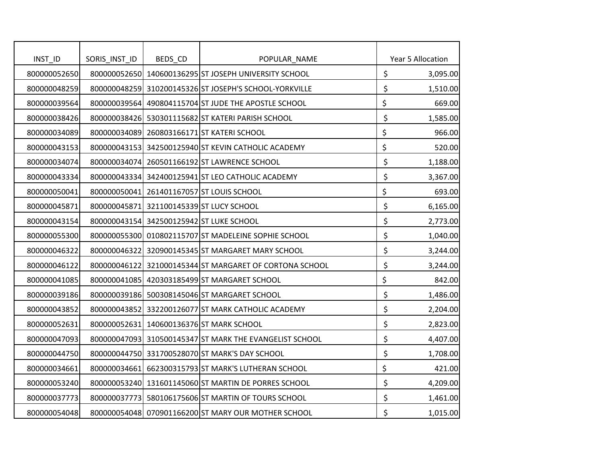| INTID        | SORIS_INST_ID | BEDS_CD | POPULAR_NAME                                            | Year 5 Allocation |
|--------------|---------------|---------|---------------------------------------------------------|-------------------|
| 800000052650 |               |         | 800000052650 140600136295 ST JOSEPH UNIVERSITY SCHOOL   | \$<br>3,095.00    |
| 800000048259 |               |         | 800000048259 310200145326 ST JOSEPH'S SCHOOL-YORKVILLE  | \$<br>1,510.00    |
| 800000039564 |               |         | 800000039564 490804115704 ST JUDE THE APOSTLE SCHOOL    | \$<br>669.00      |
| 800000038426 |               |         | 800000038426 530301115682 ST KATERI PARISH SCHOOL       | \$<br>1,585.00    |
| 800000034089 |               |         | 800000034089 260803166171 ST KATERI SCHOOL              | \$<br>966.00      |
| 800000043153 |               |         | 800000043153 342500125940 ST KEVIN CATHOLIC ACADEMY     | \$<br>520.00      |
| 800000034074 |               |         | 800000034074 260501166192 ST LAWRENCE SCHOOL            | \$<br>1,188.00    |
| 800000043334 |               |         | 800000043334 342400125941 ST LEO CATHOLIC ACADEMY       | \$<br>3,367.00    |
| 800000050041 |               |         | 800000050041 261401167057 ST LOUIS SCHOOL               | \$<br>693.00      |
| 800000045871 |               |         | 800000045871 321100145339 ST LUCY SCHOOL                | \$<br>6,165.00    |
| 800000043154 |               |         | 800000043154 342500125942 ST LUKE SCHOOL                | \$<br>2,773.00    |
| 800000055300 |               |         | 800000055300 010802115707 ST MADELEINE SOPHIE SCHOOL    | \$<br>1,040.00    |
| 800000046322 |               |         | 800000046322 320900145345 ST MARGARET MARY SCHOOL       | \$<br>3,244.00    |
| 800000046122 |               |         | 800000046122 321000145344 ST MARGARET OF CORTONA SCHOOL | \$<br>3,244.00    |
| 800000041085 |               |         | 800000041085 420303185499 ST MARGARET SCHOOL            | \$<br>842.00      |
| 800000039186 |               |         | 800000039186 500308145046 ST MARGARET SCHOOL            | \$<br>1,486.00    |
| 800000043852 |               |         | 800000043852 332200126077 ST MARK CATHOLIC ACADEMY      | \$<br>2,204.00    |
| 800000052631 | 800000052631  |         | 140600136376 ST MARK SCHOOL                             | \$<br>2,823.00    |
| 800000047093 |               |         | 800000047093 310500145347 ST MARK THE EVANGELIST SCHOOL | \$<br>4,407.00    |
| 800000044750 |               |         | 800000044750 331700528070 ST MARK'S DAY SCHOOL          | \$<br>1,708.00    |
| 800000034661 |               |         | 800000034661 662300315793 ST MARK'S LUTHERAN SCHOOL     | \$<br>421.00      |
| 800000053240 |               |         | 800000053240 131601145060 ST MARTIN DE PORRES SCHOOL    | \$<br>4,209.00    |
| 800000037773 |               |         | 800000037773 580106175606 ST MARTIN OF TOURS SCHOOL     | \$<br>1,461.00    |
| 800000054048 |               |         | 800000054048 070901166200 ST MARY OUR MOTHER SCHOOL     | \$<br>1,015.00    |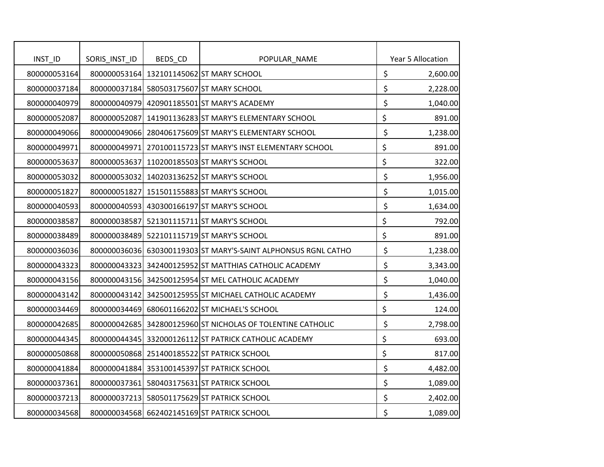| INST_ID      | SORIS_INST_ID | BEDS_CD | POPULAR_NAME                                                   | Year 5 Allocation |
|--------------|---------------|---------|----------------------------------------------------------------|-------------------|
| 800000053164 |               |         | 800000053164 132101145062 ST MARY SCHOOL                       | \$<br>2,600.00    |
| 800000037184 |               |         | 800000037184 580503175607 ST MARY SCHOOL                       | \$<br>2,228.00    |
| 800000040979 |               |         | 800000040979 420901185501 ST MARY'S ACADEMY                    | \$<br>1,040.00    |
| 800000052087 |               |         | 800000052087 141901136283 ST MARY'S ELEMENTARY SCHOOL          | \$<br>891.00      |
| 800000049066 |               |         | 800000049066 280406175609 ST MARY'S ELEMENTARY SCHOOL          | \$<br>1,238.00    |
| 800000049971 |               |         | 800000049971 270100115723 ST MARY'S INST ELEMENTARY SCHOOL     | \$<br>891.00      |
| 800000053637 | 800000053637  |         | 110200185503 ST MARY'S SCHOOL                                  | \$<br>322.00      |
| 800000053032 |               |         | 800000053032 140203136252 ST MARY'S SCHOOL                     | \$<br>1,956.00    |
| 800000051827 | 800000051827  |         | 151501155883 ST MARY'S SCHOOL                                  | \$<br>1,015.00    |
| 800000040593 |               |         | 800000040593 430300166197 ST MARY'S SCHOOL                     | \$<br>1,634.00    |
| 800000038587 |               |         | 800000038587 521301115711 ST MARY'S SCHOOL                     | \$<br>792.00      |
| 800000038489 |               |         | 800000038489 522101115719 ST MARY'S SCHOOL                     | \$<br>891.00      |
| 800000036036 |               |         | 800000036036 630300119303 ST MARY'S-SAINT ALPHONSUS RGNL CATHO | \$<br>1,238.00    |
| 800000043323 |               |         | 800000043323 342400125952 ST MATTHIAS CATHOLIC ACADEMY         | \$<br>3,343.00    |
| 800000043156 |               |         | 800000043156 342500125954 ST MEL CATHOLIC ACADEMY              | \$<br>1,040.00    |
| 800000043142 |               |         | 800000043142 342500125955 ST MICHAEL CATHOLIC ACADEMY          | \$<br>1,436.00    |
| 800000034469 |               |         | 800000034469 680601166202 ST MICHAEL'S SCHOOL                  | \$<br>124.00      |
| 800000042685 |               |         | 800000042685 342800125960 ST NICHOLAS OF TOLENTINE CATHOLIC    | \$<br>2,798.00    |
| 800000044345 |               |         | 800000044345 332000126112 ST PATRICK CATHOLIC ACADEMY          | \$<br>693.00      |
| 800000050868 |               |         | 800000050868 251400185522 ST PATRICK SCHOOL                    | \$<br>817.00      |
| 800000041884 |               |         | 800000041884 353100145397 ST PATRICK SCHOOL                    | \$<br>4,482.00    |
| 800000037361 |               |         | 800000037361 580403175631 ST PATRICK SCHOOL                    | \$<br>1,089.00    |
| 800000037213 |               |         | 800000037213 580501175629 ST PATRICK SCHOOL                    | \$<br>2,402.00    |
| 800000034568 |               |         | 800000034568 662402145169 ST PATRICK SCHOOL                    | \$<br>1,089.00    |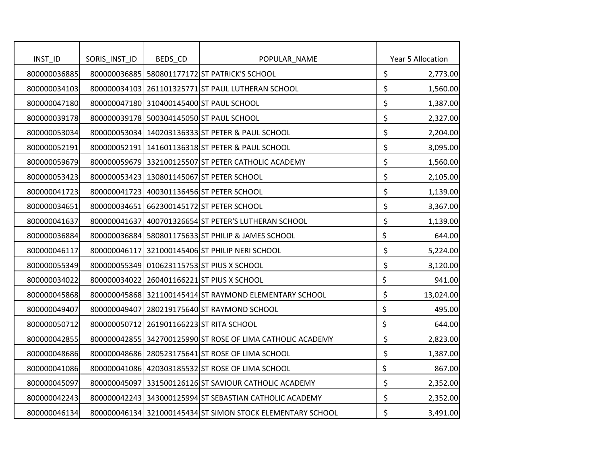| INST_ID      | SORIS_INST_ID | BEDS_CD | POPULAR_NAME                                               | Year 5 Allocation |
|--------------|---------------|---------|------------------------------------------------------------|-------------------|
| 800000036885 |               |         | 800000036885 580801177172 ST PATRICK'S SCHOOL              | \$<br>2,773.00    |
| 800000034103 |               |         | 800000034103 261101325771 ST PAUL LUTHERAN SCHOOL          | \$<br>1,560.00    |
| 800000047180 |               |         | 800000047180 310400145400 ST PAUL SCHOOL                   | \$<br>1,387.00    |
| 800000039178 |               |         | 800000039178 500304145050 ST PAUL SCHOOL                   | \$<br>2,327.00    |
| 800000053034 |               |         | 800000053034 140203136333 ST PETER & PAUL SCHOOL           | \$<br>2,204.00    |
| 800000052191 |               |         | 800000052191 141601136318 ST PETER & PAUL SCHOOL           | \$<br>3,095.00    |
| 800000059679 |               |         | 800000059679 332100125507 ST PETER CATHOLIC ACADEMY        | \$<br>1,560.00    |
| 800000053423 |               |         | 800000053423 130801145067 ST PETER SCHOOL                  | \$<br>2,105.00    |
| 800000041723 |               |         | 800000041723 400301136456 ST PETER SCHOOL                  | \$<br>1,139.00    |
| 800000034651 |               |         | 800000034651 662300145172 ST PETER SCHOOL                  | \$<br>3,367.00    |
| 800000041637 |               |         | 800000041637 400701326654 ST PETER'S LUTHERAN SCHOOL       | \$<br>1,139.00    |
| 800000036884 |               |         | 800000036884 580801175633 ST PHILIP & JAMES SCHOOL         | \$<br>644.00      |
| 800000046117 |               |         | 800000046117 321000145406 ST PHILIP NERI SCHOOL            | \$<br>5,224.00    |
| 800000055349 |               |         | 800000055349 010623115753 ST PIUS X SCHOOL                 | \$<br>3,120.00    |
| 800000034022 |               |         | 800000034022 260401166221 ST PIUS X SCHOOL                 | \$<br>941.00      |
| 800000045868 |               |         | 800000045868 321100145414 ST RAYMOND ELEMENTARY SCHOOL     | \$<br>13,024.00   |
| 800000049407 |               |         | 800000049407 280219175640 ST RAYMOND SCHOOL                | \$<br>495.00      |
| 800000050712 | 800000050712  |         | 261901166223 ST RITA SCHOOL                                | \$<br>644.00      |
| 800000042855 |               |         | 800000042855 342700125990 ST ROSE OF LIMA CATHOLIC ACADEMY | \$<br>2,823.00    |
| 800000048686 |               |         | 800000048686 280523175641 ST ROSE OF LIMA SCHOOL           | \$<br>1,387.00    |
| 800000041086 |               |         | 800000041086 420303185532 ST ROSE OF LIMA SCHOOL           | \$<br>867.00      |
| 800000045097 |               |         | 800000045097 331500126126 ST SAVIOUR CATHOLIC ACADEMY      | \$<br>2,352.00    |
| 800000042243 |               |         | 800000042243 343000125994 ST SEBASTIAN CATHOLIC ACADEMY    | \$<br>2,352.00    |
| 800000046134 |               |         | 800000046134 321000145434 ST SIMON STOCK ELEMENTARY SCHOOL | \$<br>3,491.00    |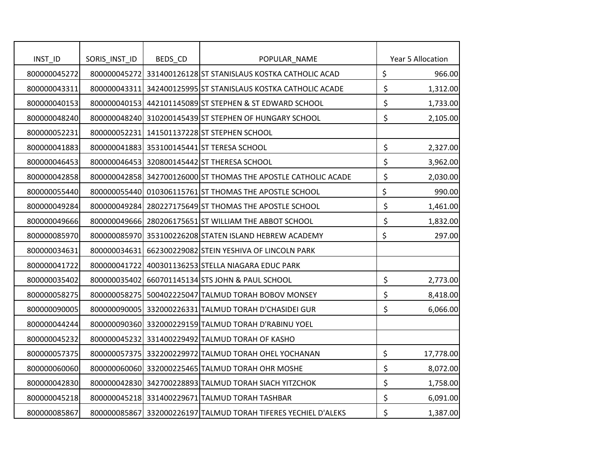| INST_ID      | SORIS_INST_ID | BEDS_CD | POPULAR_NAME                                                   |         | Year 5 Allocation |
|--------------|---------------|---------|----------------------------------------------------------------|---------|-------------------|
| 800000045272 |               |         | 800000045272 331400126128 ST STANISLAUS KOSTKA CATHOLIC ACAD   | \$      | 966.00            |
| 800000043311 |               |         | 800000043311 342400125995 ST STANISLAUS KOSTKA CATHOLIC ACADE  | \$      | 1,312.00          |
| 800000040153 |               |         | 800000040153 442101145089 ST STEPHEN & ST EDWARD SCHOOL        | \$      | 1,733.00          |
| 800000048240 |               |         | 800000048240 310200145439 ST STEPHEN OF HUNGARY SCHOOL         | \$      | 2,105.00          |
| 800000052231 |               |         | 800000052231 141501137228 ST STEPHEN SCHOOL                    |         |                   |
| 800000041883 |               |         | 800000041883 353100145441 ST TERESA SCHOOL                     | \$      | 2,327.00          |
| 800000046453 |               |         | 800000046453 320800145442 ST THERESA SCHOOL                    | \$      | 3,962.00          |
| 800000042858 |               |         | 800000042858 342700126000 ST THOMAS THE APOSTLE CATHOLIC ACADE | \$      | 2,030.00          |
| 800000055440 |               |         | 800000055440 010306115761 ST THOMAS THE APOSTLE SCHOOL         | \$      | 990.00            |
| 800000049284 |               |         | 800000049284 280227175649 ST THOMAS THE APOSTLE SCHOOL         | \$      | 1,461.00          |
| 800000049666 |               |         | 800000049666 280206175651 ST WILLIAM THE ABBOT SCHOOL          | \$      | 1,832.00          |
| 800000085970 |               |         | 800000085970 353100226208 STATEN ISLAND HEBREW ACADEMY         | \$      | 297.00            |
| 800000034631 |               |         | 800000034631 662300229082 STEIN YESHIVA OF LINCOLN PARK        |         |                   |
| 800000041722 |               |         | 800000041722 400301136253 STELLA NIAGARA EDUC PARK             |         |                   |
| 800000035402 |               |         | 800000035402 660701145134 STS JOHN & PAUL SCHOOL               | \$      | 2,773.00          |
| 800000058275 |               |         | 800000058275 500402225047 TALMUD TORAH BOBOV MONSEY            | \$      | 8,418.00          |
| 800000090005 |               |         | 800000090005 332000226331 TALMUD TORAH D'CHASIDEI GUR          | \$      | 6,066.00          |
| 800000044244 |               |         | 800000090360 332000229159 TALMUD TORAH D'RABINU YOEL           |         |                   |
| 800000045232 |               |         | 800000045232 331400229492 TALMUD TORAH OF KASHO                |         |                   |
| 800000057375 |               |         | 800000057375 332200229972 TALMUD TORAH OHEL YOCHANAN           | $\zeta$ | 17,778.00         |
| 800000060060 |               |         | 800000060060 332000225465 TALMUD TORAH OHR MOSHE               | \$      | 8,072.00          |
| 800000042830 |               |         | 800000042830 342700228893 TALMUD TORAH SIACH YITZCHOK          | \$      | 1,758.00          |
| 800000045218 |               |         | 800000045218 331400229671 TALMUD TORAH TASHBAR                 | \$      | 6,091.00          |
| 800000085867 |               |         | 800000085867 332000226197 TALMUD TORAH TIFERES YECHIEL D'ALEKS | \$      | 1,387.00          |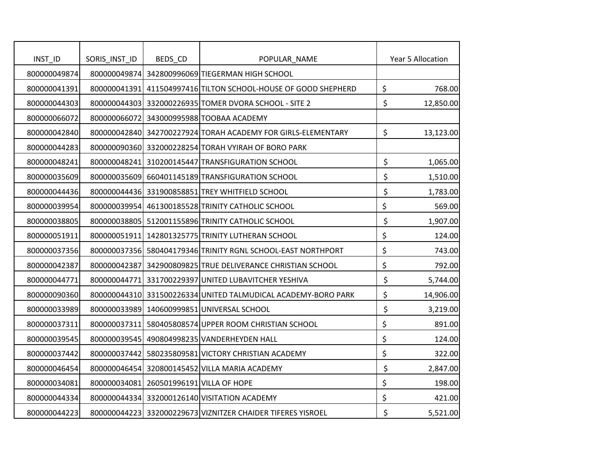| INST_ID      | SORIS_INST_ID | BEDS_CD                                 | POPULAR_NAME                                                   | Year 5 Allocation |
|--------------|---------------|-----------------------------------------|----------------------------------------------------------------|-------------------|
| 800000049874 |               |                                         | 800000049874 342800996069 TIEGERMAN HIGH SCHOOL                |                   |
| 800000041391 |               |                                         | 800000041391 411504997416 TILTON SCHOOL-HOUSE OF GOOD SHEPHERD | \$<br>768.00      |
| 800000044303 |               |                                         | 800000044303 332000226935 TOMER DVORA SCHOOL - SITE 2          | \$<br>12,850.00   |
| 800000066072 |               |                                         | 800000066072 343000995988 TOOBAA ACADEMY                       |                   |
| 800000042840 |               |                                         | 800000042840 342700227924 TORAH ACADEMY FOR GIRLS-ELEMENTARY   | \$<br>13,123.00   |
| 800000044283 |               |                                         | 800000090360 332000228254 TORAH VYIRAH OF BORO PARK            |                   |
| 800000048241 |               |                                         | 800000048241 310200145447 TRANSFIGURATION SCHOOL               | \$<br>1,065.00    |
| 800000035609 |               |                                         | 800000035609 660401145189 TRANSFIGURATION SCHOOL               | \$<br>1,510.00    |
| 800000044436 |               |                                         | 800000044436 331900858851 TREY WHITFIELD SCHOOL                | \$<br>1,783.00    |
| 800000039954 |               |                                         | 800000039954 461300185528 TRINITY CATHOLIC SCHOOL              | \$<br>569.00      |
| 800000038805 |               |                                         | 800000038805 512001155896 TRINITY CATHOLIC SCHOOL              | \$<br>1,907.00    |
| 800000051911 |               |                                         | 800000051911 142801325775 TRINITY LUTHERAN SCHOOL              | \$<br>124.00      |
| 800000037356 |               |                                         | 800000037356 580404179346 TRINITY RGNL SCHOOL-EAST NORTHPORT   | \$<br>743.00      |
| 800000042387 |               |                                         | 800000042387 342900809825 TRUE DELIVERANCE CHRISTIAN SCHOOL    | \$<br>792.00      |
| 800000044771 |               |                                         | 800000044771 331700229397 UNITED LUBAVITCHER YESHIVA           | \$<br>5,744.00    |
| 800000090360 |               |                                         | 800000044310 331500226334 UNITED TALMUDICAL ACADEMY-BORO PARK  | \$<br>14,906.00   |
| 800000033989 |               |                                         | 800000033989 140600999851 UNIVERSAL SCHOOL                     | \$<br>3,219.00    |
| 800000037311 |               |                                         | 800000037311 580405808574 UPPER ROOM CHRISTIAN SCHOOL          | \$<br>891.00      |
| 800000039545 |               |                                         | 800000039545 490804998235 VANDERHEYDEN HALL                    | \$<br>124.00      |
| 800000037442 |               |                                         | 800000037442 580235809581 VICTORY CHRISTIAN ACADEMY            | \$<br>322.00      |
| 800000046454 |               |                                         | 800000046454 320800145452 VILLA MARIA ACADEMY                  | \$<br>2,847.00    |
| 800000034081 |               | 800000034081 260501996191 VILLA OF HOPE |                                                                | \$<br>198.00      |
| 800000044334 |               |                                         | 800000044334 332000126140 VISITATION ACADEMY                   | \$<br>421.00      |
| 800000044223 |               |                                         | 800000044223 332000229673 VIZNITZER CHAIDER TIFERES YISROEL    | \$<br>5,521.00    |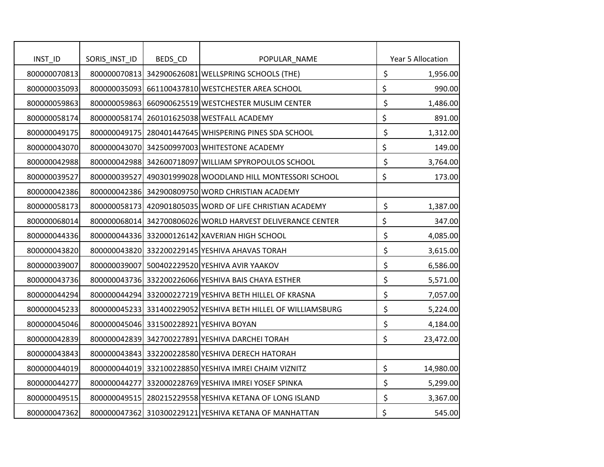| INST_ID      | SORIS_INST_ID | BEDS_CD | POPULAR_NAME                                                  | Year 5 Allocation |
|--------------|---------------|---------|---------------------------------------------------------------|-------------------|
| 800000070813 |               |         | 800000070813 342900626081 WELLSPRING SCHOOLS (THE)            | \$<br>1,956.00    |
| 800000035093 |               |         | 800000035093 661100437810 WESTCHESTER AREA SCHOOL             | \$<br>990.00      |
| 800000059863 |               |         | 800000059863 660900625519 WESTCHESTER MUSLIM CENTER           | \$<br>1,486.00    |
| 800000058174 |               |         | 800000058174 260101625038 WESTFALL ACADEMY                    | \$<br>891.00      |
| 800000049175 |               |         | 800000049175 280401447645 WHISPERING PINES SDA SCHOOL         | \$<br>1,312.00    |
| 800000043070 |               |         | 800000043070 342500997003 WHITESTONE ACADEMY                  | \$<br>149.00      |
| 800000042988 |               |         | 800000042988 342600718097 WILLIAM SPYROPOULOS SCHOOL          | \$<br>3,764.00    |
| 800000039527 |               |         | 800000039527 490301999028 WOODLAND HILL MONTESSORI SCHOOL     | \$<br>173.00      |
| 800000042386 |               |         | 800000042386 342900809750 WORD CHRISTIAN ACADEMY              |                   |
| 800000058173 |               |         | 800000058173 420901805035 WORD OF LIFE CHRISTIAN ACADEMY      | \$<br>1,387.00    |
| 800000068014 |               |         | 800000068014 342700806026 WORLD HARVEST DELIVERANCE CENTER    | \$<br>347.00      |
| 800000044336 |               |         | 800000044336 332000126142 XAVERIAN HIGH SCHOOL                | \$<br>4,085.00    |
| 800000043820 |               |         | 800000043820 332200229145 YESHIVA AHAVAS TORAH                | \$<br>3,615.00    |
| 800000039007 |               |         | 800000039007 500402229520 YESHIVA AVIR YAAKOV                 | \$<br>6,586.00    |
| 800000043736 |               |         | 800000043736 332200226066 YESHIVA BAIS CHAYA ESTHER           | \$<br>5,571.00    |
| 800000044294 |               |         | 800000044294 332000227219 YESHIVA BETH HILLEL OF KRASNA       | \$<br>7,057.00    |
| 800000045233 |               |         | 800000045233 331400229052 YESHIVA BETH HILLEL OF WILLIAMSBURG | \$<br>5,224.00    |
| 800000045046 |               |         | 800000045046 331500228921 YESHIVA BOYAN                       | \$<br>4,184.00    |
| 800000042839 |               |         | 800000042839 342700227891 YESHIVA DARCHEI TORAH               | \$<br>23,472.00   |
| 800000043843 |               |         | 800000043843 332200228580 YESHIVA DERECH HATORAH              |                   |
| 800000044019 |               |         | 800000044019 332100228850 YESHIVA IMREI CHAIM VIZNITZ         | \$<br>14,980.00   |
| 800000044277 |               |         | 800000044277 332000228769 YESHIVA IMREI YOSEF SPINKA          | \$<br>5,299.00    |
| 800000049515 |               |         | 800000049515 280215229558 YESHIVA KETANA OF LONG ISLAND       | \$<br>3,367.00    |
| 800000047362 |               |         | 800000047362 310300229121 YESHIVA KETANA OF MANHATTAN         | \$<br>545.00      |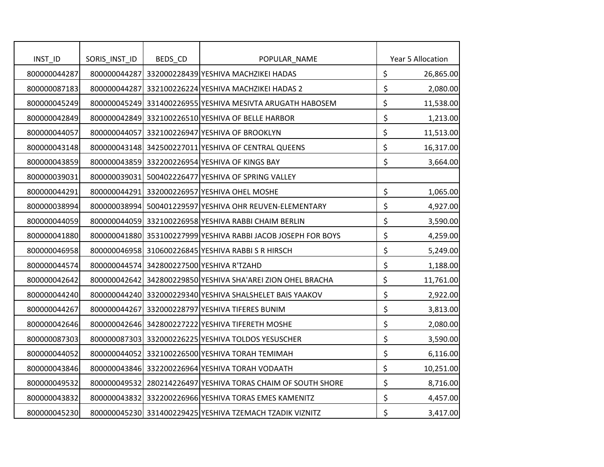| INST_ID      | SORIS_INST_ID | BEDS_CD | POPULAR_NAME                                                  | Year 5 Allocation |
|--------------|---------------|---------|---------------------------------------------------------------|-------------------|
| 800000044287 |               |         | 800000044287 332000228439 YESHIVA MACHZIKEI HADAS             | \$<br>26,865.00   |
| 800000087183 |               |         | 800000044287 332100226224 YESHIVA MACHZIKEI HADAS 2           | \$<br>2,080.00    |
| 800000045249 |               |         | 800000045249 331400226955 YESHIVA MESIVTA ARUGATH HABOSEM     | \$<br>11,538.00   |
| 800000042849 |               |         | 800000042849 332100226510 YESHIVA OF BELLE HARBOR             | \$<br>1,213.00    |
| 800000044057 |               |         | 800000044057 332100226947 YESHIVA OF BROOKLYN                 | \$<br>11,513.00   |
| 800000043148 |               |         | 800000043148 342500227011 YESHIVA OF CENTRAL QUEENS           | \$<br>16,317.00   |
| 800000043859 |               |         | 800000043859 332200226954 YESHIVA OF KINGS BAY                | \$<br>3,664.00    |
| 800000039031 |               |         | 800000039031 500402226477 YESHIVA OF SPRING VALLEY            |                   |
| 800000044291 |               |         | 800000044291 332000226957 YESHIVA OHEL MOSHE                  | \$<br>1,065.00    |
| 800000038994 |               |         | 800000038994 500401229597 YESHIVA OHR REUVEN-ELEMENTARY       | \$<br>4,927.00    |
| 800000044059 |               |         | 800000044059 332100226958 YESHIVA RABBI CHAIM BERLIN          | \$<br>3,590.00    |
| 800000041880 |               |         | 800000041880 353100227999 YESHIVA RABBI JACOB JOSEPH FOR BOYS | \$<br>4,259.00    |
| 800000046958 |               |         | 800000046958 310600226845 YESHIVA RABBI S R HIRSCH            | \$<br>5,249.00    |
| 800000044574 |               |         | 800000044574 342800227500 YESHIVA R'TZAHD                     | \$<br>1,188.00    |
| 800000042642 |               |         | 800000042642 342800229850 YESHIVA SHA'AREI ZION OHEL BRACHA   | \$<br>11,761.00   |
| 800000044240 |               |         | 800000044240 332000229340 YESHIVA SHALSHELET BAIS YAAKOV      | \$<br>2,922.00    |
| 800000044267 |               |         | 800000044267 332000228797 YESHIVA TIFERES BUNIM               | \$<br>3,813.00    |
| 800000042646 |               |         | 800000042646 342800227222 YESHIVA TIFERETH MOSHE              | \$<br>2,080.00    |
| 800000087303 |               |         | 800000087303 332000226225 YESHIVA TOLDOS YESUSCHER            | \$<br>3,590.00    |
| 800000044052 |               |         | 800000044052 332100226500 YESHIVA TORAH TEMIMAH               | \$<br>6,116.00    |
| 800000043846 |               |         | 800000043846 332200226964 YESHIVA TORAH VODAATH               | \$<br>10,251.00   |
| 800000049532 |               |         | 800000049532 280214226497 YESHIVA TORAS CHAIM OF SOUTH SHORE  | \$<br>8,716.00    |
| 800000043832 |               |         | 800000043832 332200226966 YESHIVA TORAS EMES KAMENITZ         | \$<br>4,457.00    |
| 800000045230 |               |         | 800000045230 331400229425 YESHIVA TZEMACH TZADIK VIZNITZ      | \$<br>3,417.00    |